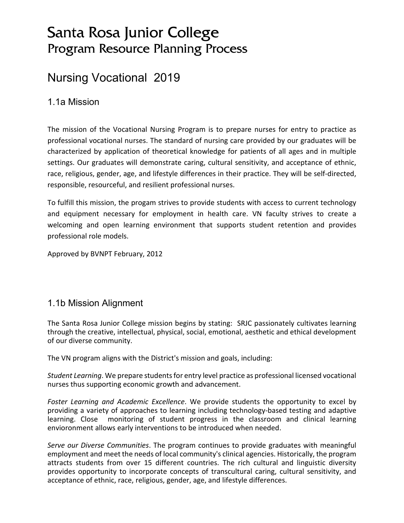# Santa Rosa Junior College Program Resource Planning Process

# Nursing Vocational 2019

# 1.1a Mission

The mission of the Vocational Nursing Program is to prepare nurses for entry to practice as professional vocational nurses. The standard of nursing care provided by our graduates will be characterized by application of theoretical knowledge for patients of all ages and in multiple settings. Our graduates will demonstrate caring, cultural sensitivity, and acceptance of ethnic, race, religious, gender, age, and lifestyle differences in their practice. They will be self-directed, responsible, resourceful, and resilient professional nurses.

To fulfill this mission, the progam strives to provide students with access to current technology and equipment necessary for employment in health care. VN faculty strives to create a welcoming and open learning environment that supports student retention and provides professional role models.

Approved by BVNPT February, 2012

### 1.1b Mission Alignment

The Santa Rosa Junior College mission begins by stating: SRJC passionately cultivates learning through the creative, intellectual, physical, social, emotional, aesthetic and ethical development of our diverse community.

The VN program aligns with the District's mission and goals, including:

*Student Learning*. We prepare students for entry level practice as professional licensed vocational nurses thus supporting economic growth and advancement.

*Foster Learning and Academic Excellence*. We provide students the opportunity to excel by providing a variety of approaches to learning including technology-based testing and adaptive learning. Close monitoring of student progress in the classroom and clinical learning envioronment allows early interventions to be introduced when needed.

*Serve our Diverse Communities*. The program continues to provide graduates with meaningful employment and meet the needs of local community's clinical agencies. Historically, the program attracts students from over 15 different countries. The rich cultural and linguistic diversity provides opportunity to incorporate concepts of transcultural caring, cultural sensitivity, and acceptance of ethnic, race, religious, gender, age, and lifestyle differences.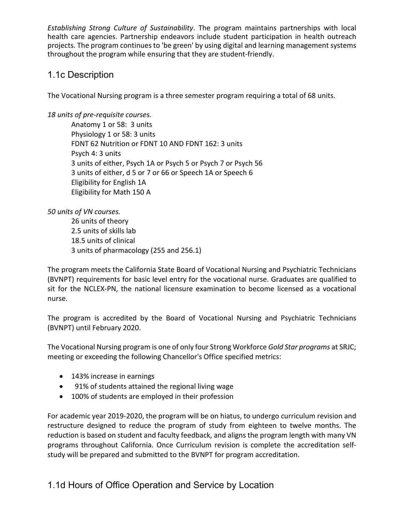*Establishing Strong Culture of Sustainability*. The program maintains partnerships with local health care agencies. Partnership endeavors include student participation in health outreach projects. The program continues to 'be green' by using digital and learning management systems throughout the program while ensuring that they are student-friendly.

# 1.1c Description

The Vocational Nursing program is a three semester program requiring a total of 68 units.

*18 units of pre-requisite courses.*

Anatomy 1 or 58: 3 units Physiology 1 or 58: 3 units FDNT 62 Nutrition or FDNT 10 AND FDNT 162: 3 units Psych 4: 3 units 3 units of either, Psych 1A or Psych 5 or Psych 7 or Psych 56 3 units of either, d 5 or 7 or 66 or Speech 1A or Speech 6 Eligibility for English 1A Eligibility for Math 150 A

*50 units of VN courses.*

26 units of theory 2.5 units of skills lab 18.5 units of clinical 3 units of pharmacology (255 and 256.1)

The program meets the California State Board of Vocational Nursing and Psychiatric Technicians (BVNPT) requirements for basic level entry for the vocational nurse. Graduates are qualified to sit for the NCLEX-PN, the national licensure examination to become licensed as a vocational nurse.

The program is accredited by the Board of Vocational Nursing and Psychiatric Technicians (BVNPT) until February 2020.

The Vocational Nursing program is one of only four Strong Workforce *Gold Star programs* at SRJC; meeting or exceeding the following Chancellor's Office specified metrics:

- 143% increase in earnings
- 91% of students attained the regional living wage
- 100% of students are employed in their profession

For academic year 2019-2020, the program will be on hiatus, to undergo curriculum revision and restructure designed to reduce the program of study from eighteen to twelve months. The reduction is based on student and faculty feedback, and aligns the program length with many VN programs throughout California. Once Curriculum revision is complete the accreditation selfstudy will be prepared and submitted to the BVNPT for program accreditation.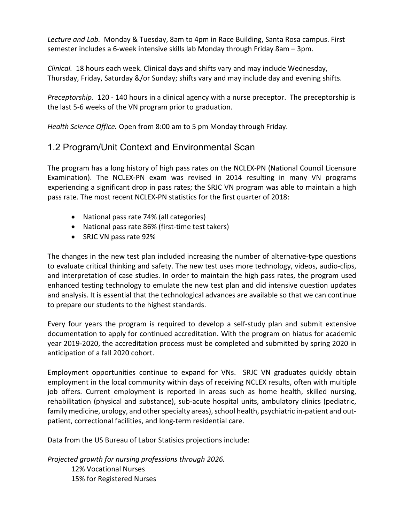*Lecture and Lab.* Monday & Tuesday, 8am to 4pm in Race Building, Santa Rosa campus. First semester includes a 6-week intensive skills lab Monday through Friday 8am – 3pm.

*Clinical.* 18 hours each week. Clinical days and shifts vary and may include Wednesday, Thursday, Friday, Saturday &/or Sunday; shifts vary and may include day and evening shifts.

*Preceptorship.* 120 - 140 hours in a clinical agency with a nurse preceptor. The preceptorship is the last 5-6 weeks of the VN program prior to graduation.

*Health Science Office.* Open from 8:00 am to 5 pm Monday through Friday.

## 1.2 Program/Unit Context and Environmental Scan

The program has a long history of high pass rates on the NCLEX-PN (National Council Licensure Examination). The NCLEX-PN exam was revised in 2014 resulting in many VN programs experiencing a significant drop in pass rates; the SRJC VN program was able to maintain a high pass rate. The most recent NCLEX-PN statistics for the first quarter of 2018:

- National pass rate 74% (all categories)
- National pass rate 86% (first-time test takers)
- SRJC VN pass rate 92%

The changes in the new test plan included increasing the number of alternative-type questions to evaluate critical thinking and safety. The new test uses more technology, videos, audio-clips, and interpretation of case studies. In order to maintain the high pass rates, the program used enhanced testing technology to emulate the new test plan and did intensive question updates and analysis. It is essential that the technological advances are available so that we can continue to prepare our students to the highest standards.

Every four years the program is required to develop a self-study plan and submit extensive documentation to apply for continued accreditation. With the program on hiatus for academic year 2019-2020, the accreditation process must be completed and submitted by spring 2020 in anticipation of a fall 2020 cohort.

Employment opportunities continue to expand for VNs. SRJC VN graduates quickly obtain employment in the local community within days of receiving NCLEX results, often with multiple job offers. Current employment is reported in areas such as home health, skilled nursing, rehabilitation (physical and substance), sub-acute hospital units, ambulatory clinics (pediatric, family medicine, urology, and other specialty areas), school health, psychiatric in-patient and outpatient, correctional facilities, and long-term residential care.

Data from the US Bureau of Labor Statisics projections include:

*Projected growth for nursing professions through 2026.* 12% Vocational Nurses 15% for Registered Nurses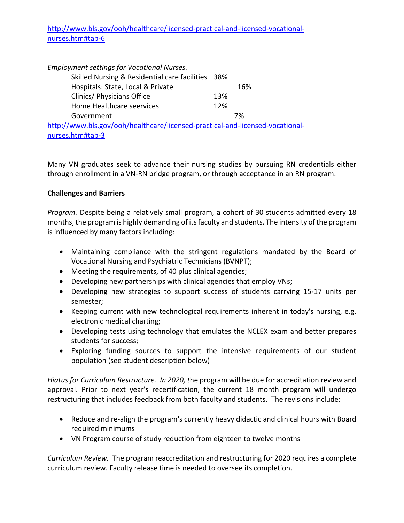### [http://www.bls.gov/ooh/healthcare/licensed-practical-and-licensed-vocational](http://www.bls.gov/news.release/ecopro.t05.htm)[nurses.htm#tab-6](http://www.bls.gov/news.release/ecopro.t05.htm)

| <b>Employment settings for Vocational Nurses.</b>                             |     |     |
|-------------------------------------------------------------------------------|-----|-----|
| Skilled Nursing & Residential care facilities 38%                             |     |     |
| Hospitals: State, Local & Private                                             |     | 16% |
| Clinics/ Physicians Office                                                    | 13% |     |
| Home Healthcare seervices                                                     | 12% |     |
| Government                                                                    |     | 7%  |
| http://www.bls.gov/ooh/healthcare/licensed-practical-and-licensed-vocational- |     |     |
| nurses.htm#tab-3                                                              |     |     |

Many VN graduates seek to advance their nursing studies by pursuing RN credentials either through enrollment in a VN-RN bridge program, or through acceptance in an RN program.

### **Challenges and Barriers**

*Program.* Despite being a relatively small program, a cohort of 30 students admitted every 18 months, the program is highly demanding of its faculty and students. The intensity of the program is influenced by many factors including:

- Maintaining compliance with the stringent regulations mandated by the Board of Vocational Nursing and Psychiatric Technicians (BVNPT);
- Meeting the requirements, of 40 plus clinical agencies;
- Developing new partnerships with clinical agencies that employ VNs;
- Developing new strategies to support success of students carrying 15-17 units per semester;
- Keeping current with new technological requirements inherent in today's nursing, e.g. electronic medical charting;
- Developing tests using technology that emulates the NCLEX exam and better prepares students for success;
- Exploring funding sources to support the intensive requirements of our student population (see student description below)

*Hiatus for Curriculum Restructure. In 2020, t*he program will be due for accreditation review and approval. Prior to next year's recertification, the current 18 month program will undergo restructuring that includes feedback from both faculty and students. The revisions include:

- Reduce and re-align the program's currently heavy didactic and clinical hours with Board required minimums
- VN Program course of study reduction from eighteen to twelve months

*Curriculum Review.* The program reaccreditation and restructuring for 2020 requires a complete curriculum review. Faculty release time is needed to oversee its completion.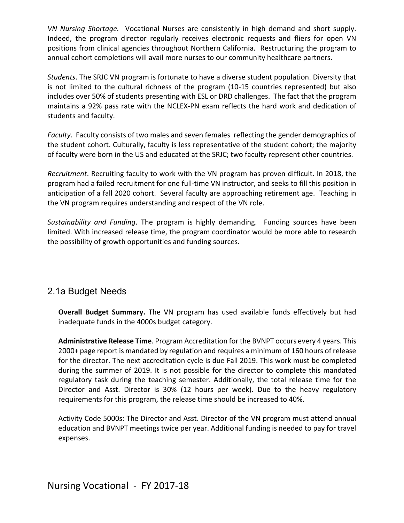*VN Nursing Shortage.* Vocational Nurses are consistently in high demand and short supply. Indeed, the program director regularly receives electronic requests and fliers for open VN positions from clinical agencies throughout Northern California. Restructuring the program to annual cohort completions will avail more nurses to our community healthcare partners.

*Students*. The SRJC VN program is fortunate to have a diverse student population. Diversity that is not limited to the cultural richness of the program (10-15 countries represented) but also includes over 50% of students presenting with ESL or DRD challenges. The fact that the program maintains a 92% pass rate with the NCLEX-PN exam reflects the hard work and dedication of students and faculty.

*Faculty*. Faculty consists of two males and seven females reflecting the gender demographics of the student cohort. Culturally, faculty is less representative of the student cohort; the majority of faculty were born in the US and educated at the SRJC; two faculty represent other countries.

*Recruitment*. Recruiting faculty to work with the VN program has proven difficult. In 2018, the program had a failed recruitment for one full-time VN instructor, and seeks to fill this position in anticipation of a fall 2020 cohort. Several faculty are approaching retirement age. Teaching in the VN program requires understanding and respect of the VN role.

*Sustainability and Funding*. The program is highly demanding. Funding sources have been limited. With increased release time, the program coordinator would be more able to research the possibility of growth opportunities and funding sources.

## 2.1a Budget Needs

**Overall Budget Summary.** The VN program has used available funds effectively but had inadequate funds in the 4000s budget category.

**Administrative Release Time**. Program Accreditation for the BVNPT occurs every 4 years. This 2000+ page report is mandated by regulation and requires a minimum of 160 hours of release for the director. The next accreditation cycle is due Fall 2019. This work must be completed during the summer of 2019. It is not possible for the director to complete this mandated regulatory task during the teaching semester. Additionally, the total release time for the Director and Asst. Director is 30% (12 hours per week). Due to the heavy regulatory requirements for this program, the release time should be increased to 40%.

Activity Code 5000s: The Director and Asst. Director of the VN program must attend annual education and BVNPT meetings twice per year. Additional funding is needed to pay for travel expenses.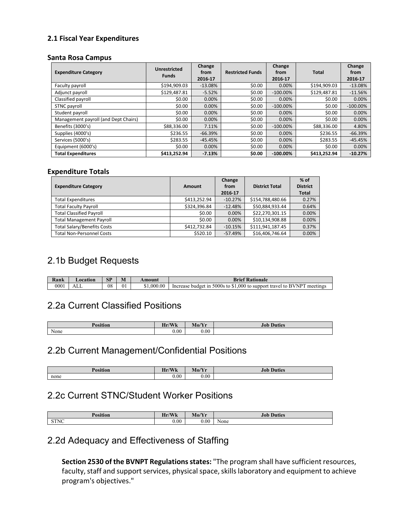#### **2.1 Fiscal Year Expenditures**

#### **Santa Rosa Campus**

| <b>Expenditure Category</b>          | <b>Unrestricted</b><br><b>Funds</b> | Change<br>from<br>2016-17 | <b>Restricted Funds</b> | Change<br>from<br>2016-17 | Total        | Change<br>from<br>2016-17 |
|--------------------------------------|-------------------------------------|---------------------------|-------------------------|---------------------------|--------------|---------------------------|
| Faculty payroll                      | \$194,909.03                        | $-13.08%$                 | \$0.00                  | 0.00%                     | \$194,909.03 | $-13.08%$                 |
| Adjunct payroll                      | \$129.487.81                        | $-5.52%$                  | \$0.00                  | $-100.00\%$               | \$129,487.81 | $-11.56%$                 |
| Classified payroll                   | \$0.00                              | 0.00%                     | \$0.00                  | 0.00%                     | \$0.00       | 0.00%                     |
| STNC payroll                         | \$0.00                              | 0.00%                     | \$0.00                  | $-100.00\%$               | \$0.00       | $-100.00\%$               |
| Student payroll                      | \$0.00                              | 0.00%                     | \$0.00                  | 0.00%                     | \$0.00       | 0.00%                     |
| Management payroll (and Dept Chairs) | \$0.00                              | 0.00%                     | \$0.00                  | 0.00%                     | \$0.00       | 0.00%                     |
| Benefits (3000's)                    | \$88,336.00                         | 7.11%                     | \$0.00                  | $-100.00\%$               | \$88,336.00  | 4.80%                     |
| Supplies (4000's)                    | \$236.55                            | $-66.39%$                 | \$0.00                  | 0.00%                     | \$236.55     | $-66.39%$                 |
| Services (5000's)                    | \$283.55                            | $-45.45%$                 | \$0.00                  | 0.00%                     | \$283.55     | $-45.45%$                 |
| Equipment (6000's)                   | \$0.00                              | 0.00%                     | \$0.00                  | 0.00%                     | \$0.00       | 0.00%                     |
| <b>Total Expenditures</b>            | \$413,252.94                        | $-7.13%$                  | \$0.00                  | $-100.00\%$               | \$413.252.94 | $-10.27%$                 |

#### **Expenditure Totals**

| <b>Expenditure Category</b>        | Amount       | Change<br>from<br>2016-17 | <b>District Total</b> | $%$ of<br><b>District</b><br><b>Total</b> |
|------------------------------------|--------------|---------------------------|-----------------------|-------------------------------------------|
| <b>Total Expenditures</b>          | \$413.252.94 | $-10.27%$                 | \$154,788,480.66      | 0.27%                                     |
| <b>Total Faculty Payroll</b>       | \$324,396.84 | $-12.48%$                 | \$50,884,933.44       | 0.64%                                     |
| <b>Total Classified Payroll</b>    | \$0.00       | 0.00%                     | \$22,270,301.15       | 0.00%                                     |
| <b>Total Management Payroll</b>    | \$0.00       | 0.00%                     | \$10,134,908.88       | 0.00%                                     |
| <b>Total Salary/Benefits Costs</b> | \$412,732.84 | $-10.15%$                 | \$111,941,187.45      | 0.37%                                     |
| <b>Total Non-Personnel Costs</b>   | \$520.10     | $-57.49%$                 | \$16,406,746.64       | 0.00%                                     |

### 2.1b Budget Requests

| Rank | <b>_ocatior</b> | <b>CD</b><br>ЮI | M  | Amount  | <b>Brief Rationale</b>                                                                                                 |
|------|-----------------|-----------------|----|---------|------------------------------------------------------------------------------------------------------------------------|
| 0001 | ℩ℶ              | 08              | 01 | .000.00 | $\triangle$<br>.000 to support<br>5000s<br><b>RVNPT</b><br>meetings<br>Increase<br>travel<br>tο<br>- to<br>m<br>budget |

## 2.2a Current Classified Positions

| <b>Position</b> | $\sqrt{111}$<br>Hr/<br><b>WK</b> | $M_0/V_m$<br>VIO/ I L | Duties<br>JU |
|-----------------|----------------------------------|-----------------------|--------------|
| None            | $_{0.00}$                        | 0.00                  |              |

# 2.2b Current Management/Confidential Positions

| <b>Position</b> | M<br>$\sim$<br><br><b>AA</b> | $\mathbf{N}$<br>. .<br><b>IATO/ II</b> | .10F<br><b>Duties</b> |
|-----------------|------------------------------|----------------------------------------|-----------------------|
| none            | 0.00                         | 0.00                                   |                       |

## 2.2c Current STNC/Student Worker Positions

| n<br>Yosition            | TL.<br>/Wk<br>all r | Mo/Yr | Duties |
|--------------------------|---------------------|-------|--------|
| C T N I C<br><b>DINC</b> | 0.00                | 0.00  | None   |

### 2.2d Adequacy and Effectiveness of Staffing

**Section 2530 of the BVNPT Regulations states:** "The program shall have sufficient resources, faculty, staff and support services, physical space, skills laboratory and equipment to achieve program's objectives."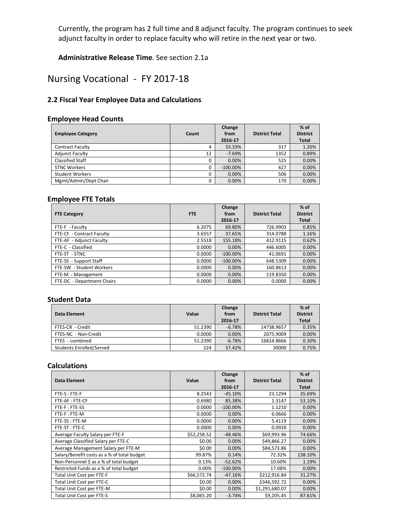Currently, the program has 2 full time and 8 adjunct faculty. The program continues to seek adjunct faculty in order to replace faculty who will retire in the next year or two.

**Administrative Release Time**. See section 2.1a

# Nursing Vocational - FY 2017-18

### **2.2 Fiscal Year Employee Data and Calculations**

#### **Employee Head Counts**

| <b>Employee Category</b> | Count | Change<br>from<br>2016 17 | <b>District Total</b> | $%$ of<br><b>District</b><br><b>Total</b> |
|--------------------------|-------|---------------------------|-----------------------|-------------------------------------------|
| <b>Contract Faculty</b>  | 4     | 33.33%                    | 317                   | 1.26%                                     |
| <b>Adjunct Faculty</b>   | 12    | $-7.69%$                  | 1352                  | 0.89%                                     |
| <b>Classified Staff</b>  | 0     | 0.00%                     | 525                   | 0.00%                                     |
| <b>STNC Workers</b>      | 0     | $-100.00\%$               | 427                   | 0.00%                                     |
| <b>Student Workers</b>   | 0     | 0.00%                     | 506                   | 0.00%                                     |
| Mgmt/Admin/Dept Chair    | 0     | 0.00%                     | 170                   | 0.00%                                     |

#### **Employee FTE Totals**

| <b>FTE Category</b>        | <b>FTE</b> | Change<br>from<br>2016-17 | <b>District Total</b> | $%$ of<br><b>District</b><br><b>Total</b> |
|----------------------------|------------|---------------------------|-----------------------|-------------------------------------------|
| FTE-F - Faculty            | 6.2075     | 69.80%                    | 726.9903              | 0.85%                                     |
| FTE-CF - Contract Faculty  | 3.6557     | 37.65%                    | 314.0788              | 1.16%                                     |
| FTE-AF - Adjunct Faculty   | 2.5518     | 155.18%                   | 412.9115              | 0.62%                                     |
| FTE-C - Classified         | 0.0000     | 0.00%                     | 446.6005              | 0.00%                                     |
| FTE-ST - STNC              | 0.0000     | $-100.00\%$               | 41.0691               | 0.00%                                     |
| FTE-SS - Support Staff     | 0.0000     | $-100.00\%$               | 648.5309              | 0.00%                                     |
| FTE-SW - Student Workers   | 0.0000     | 0.00%                     | 160.8613              | 0.00%                                     |
| FTE-M - Management         | 0.0000     | 0.00%                     | 119.8350              | 0.00%                                     |
| FTE-DC - Department Chairs | 0.0000     | 0.00%                     | 0.0000                | 0.00%                                     |

#### **Student Data**

| Data Element             | Value   | Change<br>from<br>2016-17 | <b>District Total</b> | $%$ of<br><b>District</b><br><b>Total</b> |
|--------------------------|---------|---------------------------|-----------------------|-------------------------------------------|
| FTES-CR - Credit         | 51.2390 | $-6.78%$                  | 14738.9657            | 0.35%                                     |
| FTES-NC - Non-Credit     | 0.0000  | $0.00\%$                  | 2075.9009             | 0.00%                                     |
| FTES - combined          | 51.2390 | $-6.78\%$                 | 16814.8666            | 0.30%                                     |
| Students Enrolled/Served | 224     | 37.42%                    | 30000                 | 0.75%                                     |

#### **Calculations**

| Data Element                                | Value       | Change<br>from | <b>District Total</b> | $%$ of<br><b>District</b> |
|---------------------------------------------|-------------|----------------|-----------------------|---------------------------|
|                                             |             | 2016-17        |                       | <b>Total</b>              |
| FTE-S: FTE-F                                | 8.2543      | $-45.10%$      | 23.1294               | 35.69%                    |
| FTE-AF: FTE-CF                              | 0.6980      | 85.38%         | 1.3147                | 53.10%                    |
| FTE-F: FTE-SS                               | 0.0000      | $-100.00\%$    | 1.1210                | 0.00%                     |
| FTE-F: FTE-M                                | 0.0000      | 0.00%          | 6.0666                | 0.00%                     |
| FTE-SS: FTE-M                               | 0.0000      | 0.00%          | 5.4119                | 0.00%                     |
| FTE-ST: FTE-C                               | 0.0000      | 0.00%          | 0.0920                | 0.00%                     |
| Average Faculty Salary per FTE-F            | \$52,258.52 | $-48.46%$      | \$69,993.96           | 74.66%                    |
| Average Classified Salary per FTE-C         | \$0.00      | 0.00%          | \$49,866.27           | 0.00%                     |
| Average Management Salary per FTE-M         | \$0.00      | 0.00%          | \$84,573.86           | 0.00%                     |
| Salary/Benefit costs as a % of total budget | 99.87%      | 0.14%          | 72.32%                | 138.10%                   |
| Non-Personnel \$ as a % of total budget     | 0.13%       | $-52.62%$      | 10.60%                | 1.19%                     |
| Restricted Funds as a % of total budget     | 0.00%       | $-100.00\%$    | 17.08%                | 0.00%                     |
| Total Unit Cost per FTE-F                   | \$66,572.74 | $-47.16%$      | \$212,916.84          | 31.27%                    |
| Total Unit Cost per FTE-C                   | \$0.00      | 0.00%          | \$346,592.72          | 0.00%                     |
| Total Unit Cost per FTE-M                   | \$0.00      | 0.00%          | \$1,291,680.07        | 0.00%                     |
| Total Unit Cost per FTE-S                   | \$8,065.20  | $-3.74%$       | \$9,205.45            | 87.61%                    |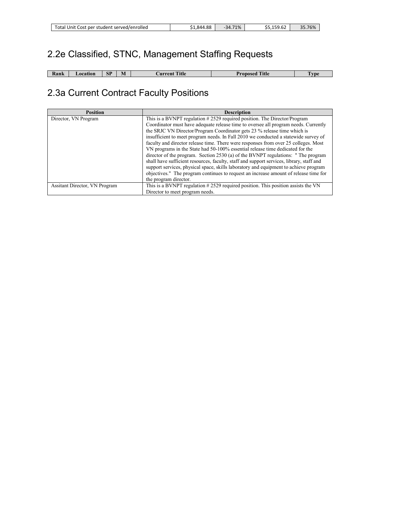# 2.2e Classified, STNC, Management Staffing Requests

| Kank | ocation | <b>CD</b><br>ЮJ | W. | <b>STATE A</b><br><b>A</b> itle<br>∟urrent | $T_{\rm t1}$<br>35eo.<br>. | l vpe |
|------|---------|-----------------|----|--------------------------------------------|----------------------------|-------|

# 2.3a Current Contract Faculty Positions

| <b>Position</b>                      | <b>Description</b>                                                                       |
|--------------------------------------|------------------------------------------------------------------------------------------|
| Director, VN Program                 | This is a BVNPT regulation #2529 required position. The Director/Program                 |
|                                      | Coordinator must have adequate release time to oversee all program needs. Currently      |
|                                      | the SRJC VN Director/Program Coordinator gets 23 % release time which is                 |
|                                      | insufficient to meet program needs. In Fall 2010 we conducted a statewide survey of      |
|                                      | faculty and director release time. There were responses from over 25 colleges. Most      |
|                                      | VN programs in the State had 50-100% essential release time dedicated for the            |
|                                      | director of the program. Section 2530 (a) of the BVNPT regulations: "The program         |
|                                      | shall have sufficient resources, faculty, staff and support services, library, staff and |
|                                      | support services, physical space, skills laboratory and equipment to achieve program     |
|                                      | objectives." The program continues to request an increase amount of release time for     |
|                                      | the program director.                                                                    |
| <b>Assitant Director, VN Program</b> | This is a BVNPT regulation #2529 required position. This position assists the VN         |
|                                      | Director to meet program needs.                                                          |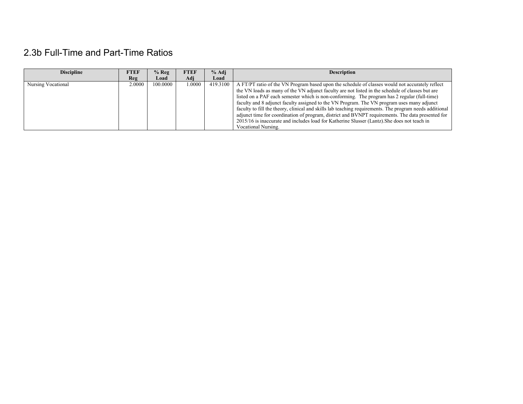# 2.3b Full-Time and Part-Time Ratios

| <b>Discipline</b>  | <b>FTEF</b> | $%$ Reg  | <b>FTEF</b> | % Adi    | <b>Description</b>                                                                                      |
|--------------------|-------------|----------|-------------|----------|---------------------------------------------------------------------------------------------------------|
|                    | Reg         | Load     | Adi         | Load     |                                                                                                         |
| Nursing Vocational | 2.0000      | 100,0000 | 0000.       | 419.3100 | A FT/PT ratio of the VN Program based upon the schedule of classes would not accurately reflect         |
|                    |             |          |             |          | the VN loads as many of the VN adjunct faculty are not listed in the schedule of classes but are        |
|                    |             |          |             |          | listed on a PAF each semester which is non-conforming. The program has 2 regular (full-time)            |
|                    |             |          |             |          | faculty and 8 adjunct faculty assigned to the VN Program. The VN program uses many adjunct              |
|                    |             |          |             |          | faculty to fill the theory, clinical and skills lab teaching requirements. The program needs additional |
|                    |             |          |             |          | adjunct time for coordination of program, district and BVNPT requirements. The data presented for       |
|                    |             |          |             |          | 2015/16 is inaccurate and includes load for Katherine Slusser (Lantz). She does not teach in            |
|                    |             |          |             |          | Vocational Nursing.                                                                                     |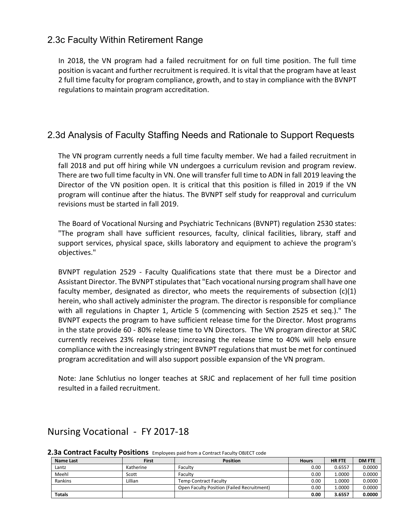### 2.3c Faculty Within Retirement Range

In 2018, the VN program had a failed recruitment for on full time position. The full time position is vacant and further recruitment is required. It is vital that the program have at least 2 full time faculty for program compliance, growth, and to stay in compliance with the BVNPT regulations to maintain program accreditation.

# 2.3d Analysis of Faculty Staffing Needs and Rationale to Support Requests

The VN program currently needs a full time faculty member. We had a failed recruitment in fall 2018 and put off hiring while VN undergoes a curriculum revision and program review. There are two full time faculty in VN. One will transfer full time to ADN in fall 2019 leaving the Director of the VN position open. It is critical that this position is filled in 2019 if the VN program will continue after the hiatus. The BVNPT self study for reapproval and curriculum revisions must be started in fall 2019.

The Board of Vocational Nursing and Psychiatric Technicans (BVNPT) regulation 2530 states: "The program shall have sufficient resources, faculty, clinical facilities, library, staff and support services, physical space, skills laboratory and equipment to achieve the program's objectives."

BVNPT regulation 2529 - Faculty Qualifications state that there must be a Director and Assistant Director. The BVNPT stipulates that "Each vocational nursing program shall have one faculty member, designated as director, who meets the requirements of subsection  $(c)(1)$ herein, who shall actively administer the program. The director is responsible for compliance with all regulations in Chapter 1, Article 5 (commencing with Section 2525 et seq.)." The BVNPT expects the program to have sufficient release time for the Director. Most programs in the state provide 60 - 80% release time to VN Directors. The VN program director at SRJC currently receives 23% release time; increasing the release time to 40% will help ensure compliance with the increasingly stringent BVNPT regulations that must be met for continued program accreditation and will also support possible expansion of the VN program.

Note: Jane Schlutius no longer teaches at SRJC and replacement of her full time position resulted in a failed recruitment.

## Nursing Vocational - FY 2017-18

#### **2.3a Contract Faculty Positions** Employees paid from a Contract Faculty OBJECT code

| Name Last     | <b>First</b> | <b>Position</b>                                   | <b>Hours</b> | <b>HR FTE</b> | <b>DM FTE</b> |
|---------------|--------------|---------------------------------------------------|--------------|---------------|---------------|
| Lantz         | Katherine    | Faculty                                           | 0.00         | 0.6557        | 0.0000        |
| Meehl         | Scott        | Faculty                                           | 0.00         | 1.0000        | 0.0000        |
| Rankins       | Lillian      | Temp Contract Faculty                             | 0.00         | 1.0000        | 0.0000        |
|               |              | <b>Open Faculty Position (Failed Recruitment)</b> | 0.00         | 0000.         | 0.0000        |
| <b>Totals</b> |              |                                                   | 0.00         | 3.6557        | 0.0000        |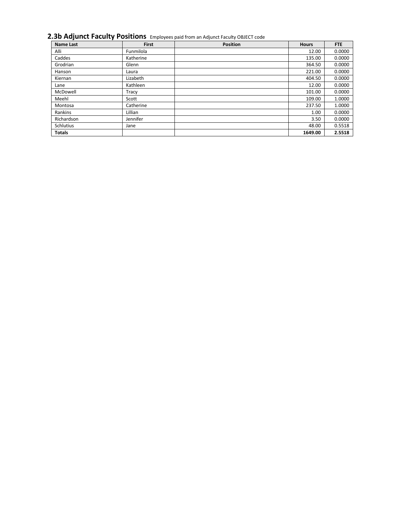### **2.3b Adjunct Faculty Positions** Employees paid from an Adjunct Faculty OBJECT code

| <b>Name Last</b> | <b>First</b> | <b>Position</b> | <b>Hours</b> | FTE    |
|------------------|--------------|-----------------|--------------|--------|
| Alli             | Funmilola    |                 | 12.00        | 0.0000 |
| Caddes           | Katherine    |                 | 135.00       | 0.0000 |
| Grodrian         | Glenn        |                 | 364.50       | 0.0000 |
| Hanson           | Laura        |                 | 221.00       | 0.0000 |
| Kiernan          | Lizabeth     |                 | 404.50       | 0.0000 |
| Lane             | Kathleen     |                 | 12.00        | 0.0000 |
| McDowell         | Tracy        |                 | 101.00       | 0.0000 |
| Meehl            | Scott        |                 | 109.00       | 1.0000 |
| Montosa          | Catherine    |                 | 237.50       | 1.0000 |
| Rankins          | Lillian      |                 | 1.00         | 0.0000 |
| Richardson       | Jennifer     |                 | 3.50         | 0.0000 |
| <b>Schlutius</b> | Jane         |                 | 48.00        | 0.5518 |
| <b>Totals</b>    |              |                 | 1649.00      | 2.5518 |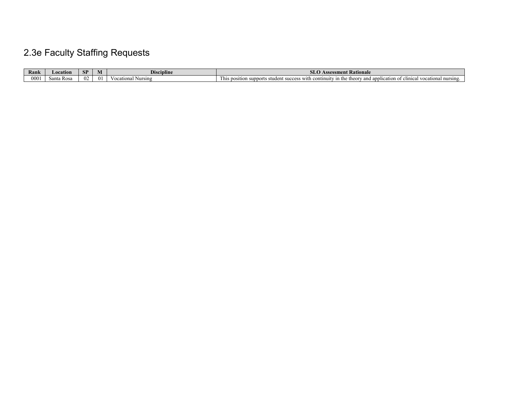# 2.3e Faculty Staffing Requests

| Rank | ocation               | СΤ<br>$\mathbf{C}$ | M | בנת<br>Discipline    | Rationale<br>sment<br>,,,,,,                                                                                                                                 |
|------|-----------------------|--------------------|---|----------------------|--------------------------------------------------------------------------------------------------------------------------------------------------------------|
| 0001 | <b>R</b> os<br>⊾`onto | Œ                  |   | Nursing<br>nal.<br>. | ∙ the<br>cational nursing.<br>əntinui*<br>his<br>stude<br>with<br>. IP<br>⊤DOSItIOL.<br>suppe<br>101<br>ano<br>apr<br>- 51<br>.<br>ivativ<br>$\cdots$<br>,,, |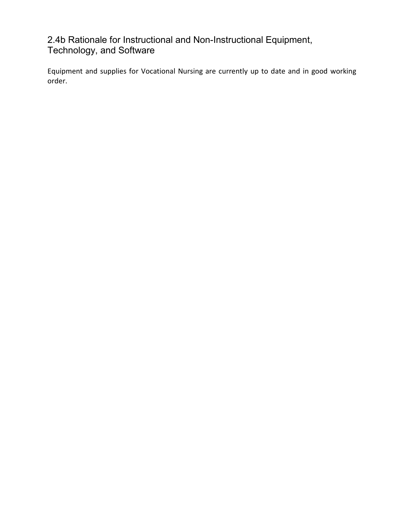# 2.4b Rationale for Instructional and Non-Instructional Equipment, Technology, and Software

Equipment and supplies for Vocational Nursing are currently up to date and in good working order.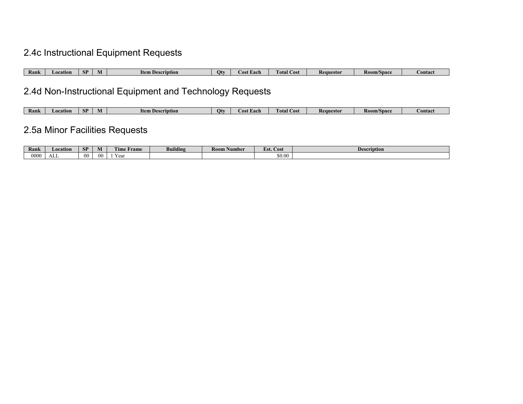# 2.4c Instructional Equipment Requests

| Rank | cation<br>LO 6 | CD.<br>ЮI | 'tem<br><b>escription</b><br>. . | Otv | Each<br>AS | --<br>otal<br>⊅ost | Requestor | /Spac<br>K00' | — опіас. |
|------|----------------|-----------|----------------------------------|-----|------------|--------------------|-----------|---------------|----------|

# 2.4d Non-Instructional Equipment and Technology Requests

| Rank | ation<br><b>I</b> AIL. | <b>SP</b> | <b>Item</b><br>scription | Otv | Each<br>.ost | Cost<br>t otal | Keauestor | VSpace<br>-1100. | сошас |
|------|------------------------|-----------|--------------------------|-----|--------------|----------------|-----------|------------------|-------|

# 2.5a Minor Facilities Requests

| Rank | ∟ocation   | CD.<br>ЮI      | M  | <b>There</b><br>Frame<br>. ime | <br>Buildin | <b>Room</b><br>Number | $\sim$<br>Est. Cost                | <b>Description</b> |
|------|------------|----------------|----|--------------------------------|-------------|-----------------------|------------------------------------|--------------------|
| 000C | - 3<br>ALL | 0 <sup>0</sup> | 00 | ימם 7<br>i vai                 |             |                       | $\sim$ $\sim$<br>0.00 <sub>o</sub> |                    |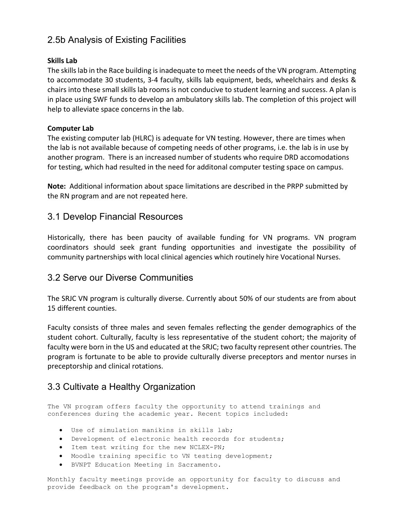# 2.5b Analysis of Existing Facilities

#### **Skills Lab**

The skills lab in the Race building is inadequate to meet the needs of the VN program. Attempting to accommodate 30 students, 3-4 faculty, skills lab equipment, beds, wheelchairs and desks & chairs into these small skills lab rooms is not conducive to student learning and success. A plan is in place using SWF funds to develop an ambulatory skills lab. The completion of this project will help to alleviate space concerns in the lab.

#### **Computer Lab**

The existing computer lab (HLRC) is adequate for VN testing. However, there are times when the lab is not available because of competing needs of other programs, i.e. the lab is in use by another program. There is an increased number of students who require DRD accomodations for testing, which had resulted in the need for additonal computer testing space on campus.

**Note:** Additional information about space limitations are described in the PRPP submitted by the RN program and are not repeated here.

### 3.1 Develop Financial Resources

Historically, there has been paucity of available funding for VN programs. VN program coordinators should seek grant funding opportunities and investigate the possibility of community partnerships with local clinical agencies which routinely hire Vocational Nurses.

### 3.2 Serve our Diverse Communities

The SRJC VN program is culturally diverse. Currently about 50% of our students are from about 15 different counties.

Faculty consists of three males and seven females reflecting the gender demographics of the student cohort. Culturally, faculty is less representative of the student cohort; the majority of faculty were born in the US and educated at the SRJC; two faculty represent other countries. The program is fortunate to be able to provide culturally diverse preceptors and mentor nurses in preceptorship and clinical rotations.

## 3.3 Cultivate a Healthy Organization

The VN program offers faculty the opportunity to attend trainings and conferences during the academic year. Recent topics included:

- Use of simulation manikins in skills lab;
- Development of electronic health records for students;
- Item test writing for the new NCLEX-PN;
- Moodle training specific to VN testing development;
- BVNPT Education Meeting in Sacramento.

Monthly faculty meetings provide an opportunity for faculty to discuss and provide feedback on the program's development.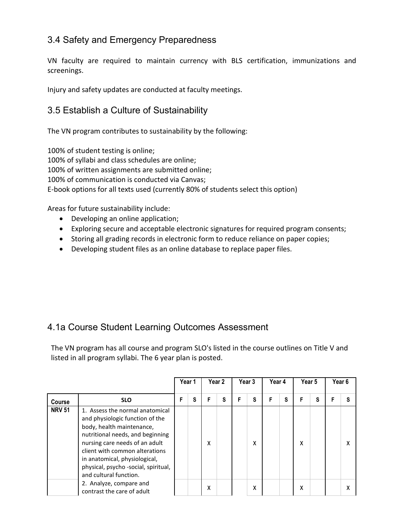# 3.4 Safety and Emergency Preparedness

VN faculty are required to maintain currency with BLS certification, immunizations and screenings.

Injury and safety updates are conducted at faculty meetings.

# 3.5 Establish a Culture of Sustainability

The VN program contributes to sustainability by the following:

100% of student testing is online; 100% of syllabi and class schedules are online; 100% of written assignments are submitted online; 100% of communication is conducted via Canvas; E-book options for all texts used (currently 80% of students select this option)

Areas for future sustainability include:

- Developing an online application;
- Exploring secure and acceptable electronic signatures for required program consents;
- Storing all grading records in electronic form to reduce reliance on paper copies;
- Developing student files as an online database to replace paper files.

## 4.1a Course Student Learning Outcomes Assessment

The VN program has all course and program SLO's listed in the course outlines on Title V and listed in all program syllabi. The 6 year plan is posted.

|               |                                                                                                                                                                                                                                                                                                            |   | Year 1 |   | Year 2 |   | Year 3 |   | Year 4<br>Year 5 |   |   | Year <sub>6</sub> |  |
|---------------|------------------------------------------------------------------------------------------------------------------------------------------------------------------------------------------------------------------------------------------------------------------------------------------------------------|---|--------|---|--------|---|--------|---|------------------|---|---|-------------------|--|
| <b>Course</b> | <b>SLO</b>                                                                                                                                                                                                                                                                                                 | F | S      |   | S      | F | S      | F | S                | F | S |                   |  |
| <b>NRV 51</b> | 1. Assess the normal anatomical<br>and physiologic function of the<br>body, health maintenance,<br>nutritional needs, and beginning<br>nursing care needs of an adult<br>client with common alterations<br>in anatomical, physiological,<br>physical, psycho -social, spiritual,<br>and cultural function. |   |        | x |        |   | X      |   |                  | x |   |                   |  |
|               | 2. Analyze, compare and<br>contrast the care of adult                                                                                                                                                                                                                                                      |   |        | χ |        |   | X      |   |                  | x |   |                   |  |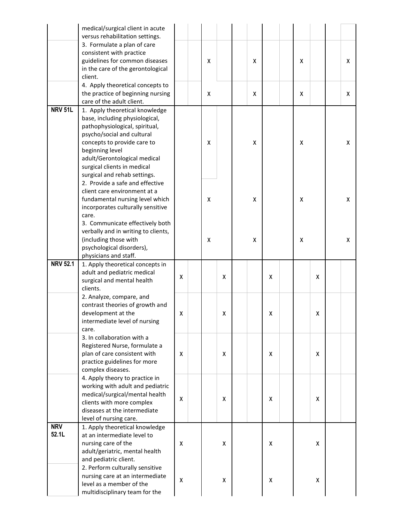|                 | medical/surgical client in acute                                   |   |   |   |   |   |   |   |   |
|-----------------|--------------------------------------------------------------------|---|---|---|---|---|---|---|---|
|                 | versus rehabilitation settings.                                    |   |   |   |   |   |   |   |   |
|                 | 3. Formulate a plan of care                                        |   |   |   |   |   |   |   |   |
|                 | consistent with practice                                           |   |   |   |   |   |   |   |   |
|                 | guidelines for common diseases                                     |   | X |   | X |   | x |   | X |
|                 | in the care of the gerontological                                  |   |   |   |   |   |   |   |   |
|                 | client.                                                            |   |   |   |   |   |   |   |   |
|                 | 4. Apply theoretical concepts to                                   |   |   |   |   |   |   |   |   |
|                 | the practice of beginning nursing                                  |   | X |   | χ |   | X |   | X |
|                 | care of the adult client.                                          |   |   |   |   |   |   |   |   |
| <b>NRV 51L</b>  | 1. Apply theoretical knowledge                                     |   |   |   |   |   |   |   |   |
|                 | base, including physiological,                                     |   |   |   |   |   |   |   |   |
|                 | pathophysiological, spiritual,                                     |   |   |   |   |   |   |   |   |
|                 | psycho/social and cultural                                         |   |   |   |   |   |   |   |   |
|                 | concepts to provide care to<br>beginning level                     |   | X |   | X |   | X |   | X |
|                 | adult/Gerontological medical                                       |   |   |   |   |   |   |   |   |
|                 | surgical clients in medical                                        |   |   |   |   |   |   |   |   |
|                 | surgical and rehab settings.                                       |   |   |   |   |   |   |   |   |
|                 | 2. Provide a safe and effective                                    |   |   |   |   |   |   |   |   |
|                 | client care environment at a                                       |   |   |   |   |   |   |   |   |
|                 | fundamental nursing level which                                    |   | X |   | X |   | X |   | X |
|                 | incorporates culturally sensitive                                  |   |   |   |   |   |   |   |   |
|                 | care.                                                              |   |   |   |   |   |   |   |   |
|                 | 3. Communicate effectively both                                    |   |   |   |   |   |   |   |   |
|                 | verbally and in writing to clients,                                |   |   |   |   |   |   |   |   |
|                 | (including those with                                              |   | X |   | x |   | X |   | X |
|                 | psychological disorders),                                          |   |   |   |   |   |   |   |   |
|                 | physicians and staff.                                              |   |   |   |   |   |   |   |   |
| <b>NRV 52.1</b> | 1. Apply theoretical concepts in                                   |   |   |   |   |   |   |   |   |
|                 | adult and pediatric medical                                        |   |   |   |   |   |   |   |   |
|                 |                                                                    |   |   |   |   |   |   |   |   |
|                 | surgical and mental health                                         | Χ |   | χ |   | X |   | X |   |
|                 | clients.                                                           |   |   |   |   |   |   |   |   |
|                 | 2. Analyze, compare, and                                           |   |   |   |   |   |   |   |   |
|                 | contrast theories of growth and                                    |   |   |   |   |   |   |   |   |
|                 | development at the                                                 | Χ |   | χ |   | x |   | X |   |
|                 | intermediate level of nursing                                      |   |   |   |   |   |   |   |   |
|                 | care.                                                              |   |   |   |   |   |   |   |   |
|                 | 3. In collaboration with a                                         |   |   |   |   |   |   |   |   |
|                 | Registered Nurse, formulate a                                      |   |   |   |   |   |   |   |   |
|                 | plan of care consistent with                                       | X |   | X |   | X |   | X |   |
|                 | practice guidelines for more                                       |   |   |   |   |   |   |   |   |
|                 | complex diseases.                                                  |   |   |   |   |   |   |   |   |
|                 | 4. Apply theory to practice in                                     |   |   |   |   |   |   |   |   |
|                 | working with adult and pediatric<br>medical/surgical/mental health |   |   |   |   |   |   |   |   |
|                 | clients with more complex                                          | X |   | X |   | X |   | X |   |
|                 | diseases at the intermediate                                       |   |   |   |   |   |   |   |   |
|                 | level of nursing care.                                             |   |   |   |   |   |   |   |   |
| <b>NRV</b>      | 1. Apply theoretical knowledge                                     |   |   |   |   |   |   |   |   |
| 52.1L           | at an intermediate level to                                        |   |   |   |   |   |   |   |   |
|                 | nursing care of the                                                | X |   | χ |   | X |   | X |   |
|                 | adult/geriatric, mental health                                     |   |   |   |   |   |   |   |   |
|                 | and pediatric client.                                              |   |   |   |   |   |   |   |   |
|                 | 2. Perform culturally sensitive                                    |   |   |   |   |   |   |   |   |
|                 | nursing care at an intermediate                                    |   |   |   |   |   |   |   |   |
|                 | level as a member of the<br>multidisciplinary team for the         | X |   | χ |   | X |   | X |   |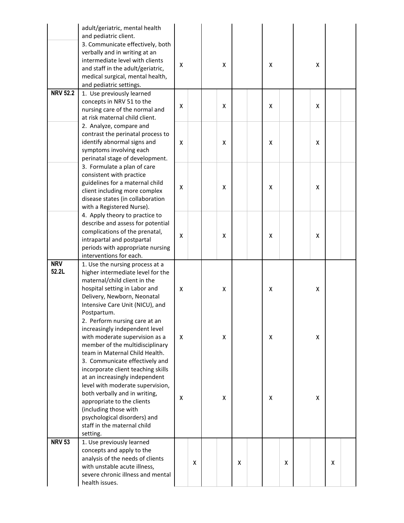|                     | adult/geriatric, mental health<br>and pediatric client.<br>3. Communicate effectively, both<br>verbally and in writing at an<br>intermediate level with clients<br>and staff in the adult/geriatric,<br>medical surgical, mental health,<br>and pediatric settings.         | X |   | x |   | x |   | X |   |  |
|---------------------|-----------------------------------------------------------------------------------------------------------------------------------------------------------------------------------------------------------------------------------------------------------------------------|---|---|---|---|---|---|---|---|--|
| <b>NRV 52.2</b>     | 1. Use previously learned<br>concepts in NRV 51 to the<br>nursing care of the normal and<br>at risk maternal child client.                                                                                                                                                  | X |   | X |   | X |   | X |   |  |
|                     | 2. Analyze, compare and<br>contrast the perinatal process to<br>identify abnormal signs and<br>symptoms involving each<br>perinatal stage of development.                                                                                                                   | X |   | X |   | x |   | X |   |  |
|                     | 3. Formulate a plan of care<br>consistent with practice<br>guidelines for a maternal child<br>client including more complex<br>disease states (in collaboration<br>with a Registered Nurse).                                                                                | X |   | X |   | X |   | X |   |  |
|                     | 4. Apply theory to practice to<br>describe and assess for potential<br>complications of the prenatal,<br>intrapartal and postpartal<br>periods with appropriate nursing<br>interventions for each.                                                                          | X |   | X |   | X |   | X |   |  |
| <b>NRV</b><br>52.2L | 1. Use the nursing process at a<br>higher intermediate level for the<br>maternal/child client in the<br>hospital setting in Labor and<br>Delivery, Newborn, Neonatal<br>Intensive Care Unit (NICU), and<br>Postpartum.                                                      | X |   | X |   | X |   | X |   |  |
|                     | 2. Perform nursing care at an<br>increasingly independent level<br>with moderate supervision as a<br>member of the multidisciplinary<br>team in Maternal Child Health.<br>3. Communicate effectively and                                                                    | X |   | X |   | X |   | X |   |  |
|                     | incorporate client teaching skills<br>at an increasingly independent<br>level with moderate supervision,<br>both verbally and in writing,<br>appropriate to the clients<br>(including those with<br>psychological disorders) and<br>staff in the maternal child<br>setting. | X |   | X |   | χ |   | X |   |  |
| <b>NRV 53</b>       | 1. Use previously learned<br>concepts and apply to the<br>analysis of the needs of clients<br>with unstable acute illness,<br>severe chronic illness and mental<br>health issues.                                                                                           |   | X |   | X |   | X |   | X |  |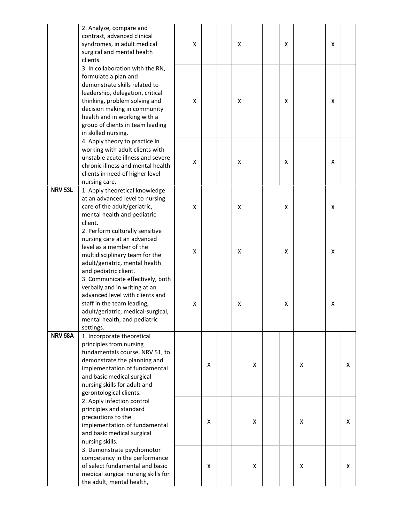|                | 2. Analyze, compare and<br>contrast, advanced clinical<br>syndromes, in adult medical<br>surgical and mental health<br>clients.                                                                                                                                                           | X |   | χ |   | X |   | X |   |
|----------------|-------------------------------------------------------------------------------------------------------------------------------------------------------------------------------------------------------------------------------------------------------------------------------------------|---|---|---|---|---|---|---|---|
|                | 3. In collaboration with the RN,<br>formulate a plan and<br>demonstrate skills related to<br>leadership, delegation, critical<br>thinking, problem solving and<br>decision making in community<br>health and in working with a<br>group of clients in team leading<br>in skilled nursing. | X |   | χ |   | X |   | X |   |
|                | 4. Apply theory to practice in<br>working with adult clients with<br>unstable acute illness and severe<br>chronic illness and mental health<br>clients in need of higher level<br>nursing care.                                                                                           | X |   | X |   | X |   | x |   |
| <b>NRV 53L</b> | 1. Apply theoretical knowledge<br>at an advanced level to nursing<br>care of the adult/geriatric,<br>mental health and pediatric<br>client.                                                                                                                                               | X |   | χ |   | X |   | X |   |
|                | 2. Perform culturally sensitive<br>nursing care at an advanced<br>level as a member of the<br>multidisciplinary team for the<br>adult/geriatric, mental health<br>and pediatric client.                                                                                                   | X |   | χ |   | X |   | X |   |
|                | 3. Communicate effectively, both<br>verbally and in writing at an<br>advanced level with clients and<br>staff in the team leading,<br>adult/geriatric, medical-surgical,<br>mental health, and pediatric<br>settings.                                                                     | χ |   | χ |   | X |   | X |   |
| <b>NRV 58A</b> | 1. Incorporate theoretical<br>principles from nursing<br>fundamentals course, NRV 51, to<br>demonstrate the planning and<br>implementation of fundamental<br>and basic medical surgical<br>nursing skills for adult and<br>gerontological clients.                                        |   | X |   | X |   | X |   | X |
|                | 2. Apply infection control<br>principles and standard<br>precautions to the<br>implementation of fundamental<br>and basic medical surgical<br>nursing skills.                                                                                                                             |   | x |   | X |   | X |   | x |
|                | 3. Demonstrate psychomotor<br>competency in the performance<br>of select fundamental and basic<br>medical surgical nursing skills for<br>the adult, mental health,                                                                                                                        |   | X |   | X |   | X |   | X |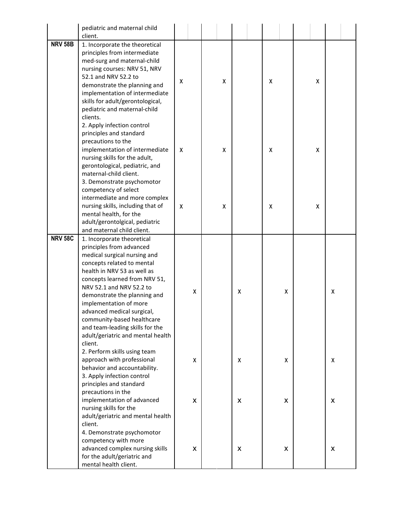|                | pediatric and maternal child                           |   |   |   |   |   |   |   |   |  |
|----------------|--------------------------------------------------------|---|---|---|---|---|---|---|---|--|
|                | client.                                                |   |   |   |   |   |   |   |   |  |
| <b>NRV 58B</b> | 1. Incorporate the theoretical                         |   |   |   |   |   |   |   |   |  |
|                | principles from intermediate                           |   |   |   |   |   |   |   |   |  |
|                | med-surg and maternal-child                            |   |   |   |   |   |   |   |   |  |
|                | nursing courses: NRV 51, NRV                           |   |   |   |   |   |   |   |   |  |
|                | 52.1 and NRV 52.2 to                                   |   |   |   |   |   |   |   |   |  |
|                | demonstrate the planning and                           | X |   | X |   | X |   | X |   |  |
|                | implementation of intermediate                         |   |   |   |   |   |   |   |   |  |
|                | skills for adult/gerontological,                       |   |   |   |   |   |   |   |   |  |
|                | pediatric and maternal-child                           |   |   |   |   |   |   |   |   |  |
|                | clients.                                               |   |   |   |   |   |   |   |   |  |
|                | 2. Apply infection control                             |   |   |   |   |   |   |   |   |  |
|                | principles and standard                                |   |   |   |   |   |   |   |   |  |
|                | precautions to the                                     |   |   |   |   |   |   |   |   |  |
|                | implementation of intermediate                         | x |   | x |   | X |   | X |   |  |
|                | nursing skills for the adult,                          |   |   |   |   |   |   |   |   |  |
|                | gerontological, pediatric, and                         |   |   |   |   |   |   |   |   |  |
|                | maternal-child client.                                 |   |   |   |   |   |   |   |   |  |
|                | 3. Demonstrate psychomotor                             |   |   |   |   |   |   |   |   |  |
|                | competency of select                                   |   |   |   |   |   |   |   |   |  |
|                | intermediate and more complex                          |   |   |   |   |   |   |   |   |  |
|                | nursing skills, including that of                      | X |   | X |   | x |   | X |   |  |
|                | mental health, for the                                 |   |   |   |   |   |   |   |   |  |
|                | adult/gerontolgical, pediatric                         |   |   |   |   |   |   |   |   |  |
| <b>NRV 58C</b> | and maternal child client.                             |   |   |   |   |   |   |   |   |  |
|                | 1. Incorporate theoretical<br>principles from advanced |   |   |   |   |   |   |   |   |  |
|                | medical surgical nursing and                           |   |   |   |   |   |   |   |   |  |
|                | concepts related to mental                             |   |   |   |   |   |   |   |   |  |
|                | health in NRV 53 as well as                            |   |   |   |   |   |   |   |   |  |
|                | concepts learned from NRV 51,                          |   |   |   |   |   |   |   |   |  |
|                | NRV 52.1 and NRV 52.2 to                               |   |   |   |   |   |   |   |   |  |
|                | demonstrate the planning and                           |   | X |   | X |   | X |   | X |  |
|                | implementation of more                                 |   |   |   |   |   |   |   |   |  |
|                | advanced medical surgical,                             |   |   |   |   |   |   |   |   |  |
|                | community-based healthcare                             |   |   |   |   |   |   |   |   |  |
|                | and team-leading skills for the                        |   |   |   |   |   |   |   |   |  |
|                | adult/geriatric and mental health                      |   |   |   |   |   |   |   |   |  |
|                | client.                                                |   |   |   |   |   |   |   |   |  |
|                | 2. Perform skills using team                           |   |   |   |   |   |   |   |   |  |
|                | approach with professional                             |   | X |   | X |   | X |   | x |  |
|                | behavior and accountability.                           |   |   |   |   |   |   |   |   |  |
|                | 3. Apply infection control                             |   |   |   |   |   |   |   |   |  |
|                | principles and standard                                |   |   |   |   |   |   |   |   |  |
|                | precautions in the                                     |   |   |   |   |   |   |   |   |  |
|                | implementation of advanced                             |   | X |   | X |   | X |   | X |  |
|                | nursing skills for the                                 |   |   |   |   |   |   |   |   |  |
|                | adult/geriatric and mental health                      |   |   |   |   |   |   |   |   |  |
|                | client.                                                |   |   |   |   |   |   |   |   |  |
|                | 4. Demonstrate psychomotor                             |   |   |   |   |   |   |   |   |  |
|                | competency with more                                   |   |   |   |   |   |   |   |   |  |
|                | advanced complex nursing skills                        |   | X |   | X |   | X |   | X |  |
|                | for the adult/geriatric and                            |   |   |   |   |   |   |   |   |  |
|                | mental health client.                                  |   |   |   |   |   |   |   |   |  |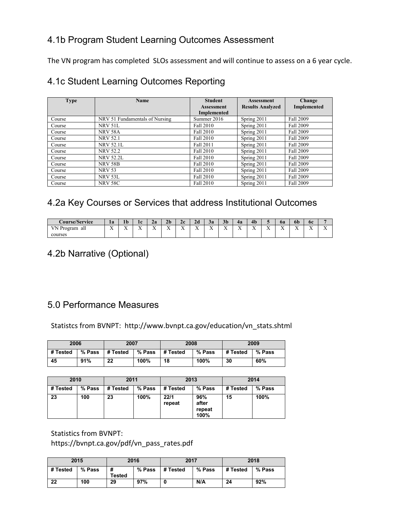# 4.1b Program Student Learning Outcomes Assessment

The VN program has completed SLOs assessment and will continue to assess on a 6 year cycle.

# 4.1c Student Learning Outcomes Reporting

| <b>Type</b> | <b>Name</b>                    | <b>Student</b>                          | <b>Assessment</b>       | Change           |
|-------------|--------------------------------|-----------------------------------------|-------------------------|------------------|
|             |                                | <b>Assessment</b><br><b>Implemented</b> | <b>Results Analyzed</b> | Implemented      |
| Course      | NRV 51 Fundamentals of Nursing | Summer 2016                             | Spring 2011             | <b>Fall 2009</b> |
| Course      | NRV 51L                        | Fall 2010                               | Spring 2011             | <b>Fall 2009</b> |
| Course      | <b>NRV 58A</b>                 | Fall 2010                               | Spring 2011             | <b>Fall 2009</b> |
| Course      | <b>NRV 52.1</b>                | Fall 2010                               | Spring 2011             | <b>Fall 2009</b> |
| Course      | <b>NRV 52.1L</b>               | Fall 2011                               | Spring 2011             | <b>Fall 2009</b> |
| Course      | <b>NRV 52.2</b>                | Fall 2010                               | Spring 2011             | <b>Fall 2009</b> |
| Course      | <b>NRV 52.2L</b>               | Fall 2010                               | Spring 2011             | <b>Fall 2009</b> |
| Course      | <b>NRV 58B</b>                 | Fall 2010                               | Spring 2011             | <b>Fall 2009</b> |
| Course      | <b>NRV 53</b>                  | Fall 2010                               | Spring 2011             | <b>Fall 2009</b> |
| Course      | NRV 53L                        | Fall 2010                               | Spring 2011             | <b>Fall 2009</b> |
| Course      | <b>NRV 58C</b>                 | Fall 2010                               | Spring 2011             | <b>Fall 2009</b> |

# 4.2a Key Courses or Services that address Institutional Outcomes

| <b>Course/Service</b>     | 1a                               | 1 <sub>b</sub>   | 1c                   | Za               | 2 <sub>b</sub> | 2c               | 2d                     | Зa                              | 3 <sub>b</sub>        | 4a                   | 4 <sub>b</sub>    |            | ba                | op                         | 6c                       |            |
|---------------------------|----------------------------------|------------------|----------------------|------------------|----------------|------------------|------------------------|---------------------------------|-----------------------|----------------------|-------------------|------------|-------------------|----------------------------|--------------------------|------------|
| VN<br>rogram<br>Ρr<br>all | $ -$<br>$\overline{\phantom{a}}$ | $-$<br>$\lambda$ | $-$<br>$\rightarrow$ | $-$<br>$\lambda$ | $-$<br>. .     | $-$<br>$\lambda$ | $ -$<br>$\overline{ }$ | - -<br>$\overline{\phantom{a}}$ | $-$<br>$\overline{ }$ | $-$<br>$\rightarrow$ | $ -$<br>$\lambda$ | $-$<br>. . | $ -$<br>$\lambda$ | <b>x</b><br>$\overline{ }$ | $\overline{\phantom{a}}$ | - 7<br>. . |
| courses                   |                                  |                  |                      |                  |                |                  |                        |                                 |                       |                      |                   |            |                   |                            |                          |            |

# 4.2b Narrative (Optional)

# 5.0 Performance Measures

Statistcs from BVNPT: http://www.bvnpt.ca.gov/education/vn\_stats.shtml

| 2006     |          | 2007     |        | 2008     |        |          | 2009   |
|----------|----------|----------|--------|----------|--------|----------|--------|
| # Tested | $%$ Pass | # Tested | % Pass | # Tested | % Pass | # Tested | % Pass |
| 45       | 91%      | 22       | 100%   | 18       | 100%   | 30       | 60%    |

| 2010     |        | 2011     |        | 2013           |                                | 2014     |        |  |
|----------|--------|----------|--------|----------------|--------------------------------|----------|--------|--|
| # Tested | % Pass | # Tested | % Pass | # Tested       | % Pass                         | # Tested | % Pass |  |
| 23       | 100    | 23       | 100%   | 22/1<br>repeat | 96%<br>after<br>repeat<br>100% | 15       | 100%   |  |

Statistics from BVNPT:

https://bvnpt.ca.gov/pdf/vn\_pass\_rates.pdf

|          | 2015   |        | 2016 | 2017             |        |          | 2018   |
|----------|--------|--------|------|------------------|--------|----------|--------|
| # Tested | % Pass | Tested |      | % Pass $#Tested$ | % Pass | # Tested | % Pass |
| 22       | 100    | 29     | 97%  |                  | N/A    | 24       | 92%    |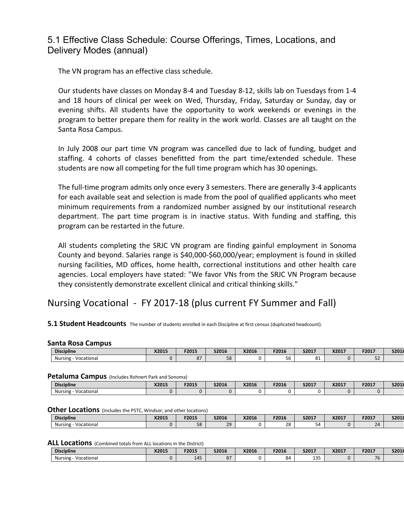### 5.1 Effective Class Schedule: Course Offerings, Times, Locations, and Delivery Modes (annual)

The VN program has an effective class schedule.

Our students have classes on Monday 8-4 and Tuesday 8-12, skills lab on Tuesdays from 1-4 and 18 hours of clinical per week on Wed, Thursday, Friday, Saturday or Sunday, day or evening shifts. All students have the opportunity to work weekends or evenings in the program to better prepare them for reality in the work world. Classes are all taught on the Santa Rosa Campus.

In July 2008 our part time VN program was cancelled due to lack of funding, budget and staffing. 4 cohorts of classes benefitted from the part time/extended schedule. These students are now all competing for the full time program which has 30 openings.

The full-time program admits only once every 3 semesters. There are generally 3-4 applicants for each available seat and selection is made from the pool of qualified applicants who meet minimum requirements from a randomized number assigned by our institutional research department. The part time program is in inactive status. With funding and staffing, this program can be restarted in the future.

All students completing the SRJC VN program are finding gainful employment in Sonoma County and beyond. Salaries range is \$40,000-\$60,000/year; employment is found in skilled nursing facilities, MD offices, home health, correctional institutions and other health care agencies. Local employers have stated: "We favor VNs from the SRJC VN Program because they consistently demonstrate excellent clinical and critical thinking skills."

# Nursing Vocational - FY 2017-18 (plus current FY Summer and Fall)

#### **5.1 Student Headcounts** The number of students enrolled in each Discipline at first census (duplicated headcount).

#### **Santa Rosa Campus**

| <b>Discipline</b>     | X2015 | F2015    | <b>S2016</b> | X2016 | F2016               | S2017    | X2017 | F2017      | S2018 |
|-----------------------|-------|----------|--------------|-------|---------------------|----------|-------|------------|-------|
| Nursing<br>Vocational |       | $\Omega$ | 58           |       | $\sim$ $\sim$<br>υU | n.<br>ŌΙ |       | $ -$<br>ےر |       |

#### **Petaluma Campus** (Includes Rohnert Park and Sonoma)

| ___                   |       |       |       |       |       |       |       |       |       |
|-----------------------|-------|-------|-------|-------|-------|-------|-------|-------|-------|
| <b>Discipline</b>     | X2015 | F2015 | S2016 | X2016 | F2016 | S2017 | X2017 | F2017 | S2018 |
| Vocational<br>Nursing |       |       |       |       |       |       |       |       |       |

#### **Other Locations** (Includes the PSTC, Windsor, and other locations)

| <b>Discipline</b>     | X2015 | F2015                | S2016  | X2016 | F2016 | S2017   | X2017 | F2017   | S2018 |
|-----------------------|-------|----------------------|--------|-------|-------|---------|-------|---------|-------|
| Nursing<br>Vocational |       | $\overline{r}$<br>эa | $\sim$ |       | 28    | -<br>54 |       | -<br>-- |       |

| <b>Discipline</b>            | X2015 | F2015 | S2016          | X2016 | F2016 | S2017      | X2017 | F2017 | S2018 |
|------------------------------|-------|-------|----------------|-------|-------|------------|-------|-------|-------|
| <b>Nursing</b><br>Vocational |       | 145   | $\Omega$<br>٥, |       | ٥۵    | ם כו<br>∸∽ |       | 76    |       |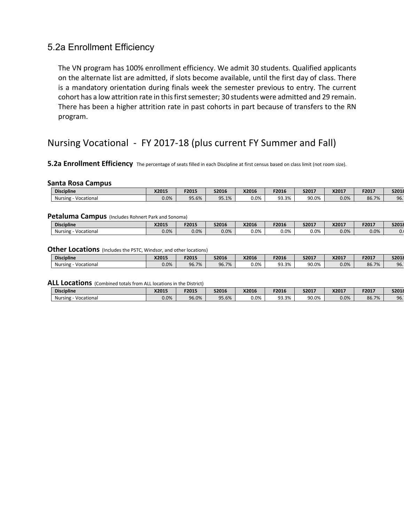### 5.2a Enrollment Efficiency

The VN program has 100% enrollment efficiency. We admit 30 students. Qualified applicants on the alternate list are admitted, if slots become available, until the first day of class. There is a mandatory orientation during finals week the semester previous to entry. The current cohort has a low attrition rate in this first semester; 30 students were admitted and 29 remain. There has been a higher attrition rate in past cohorts in part because of transfers to the RN program.

# Nursing Vocational - FY 2017-18 (plus current FY Summer and Fall)

#### **5.2a Enrollment Efficiency** The percentage of seats filled in each Discipline at first census based on class limit (not room size).

#### **Santa Rosa Campus**

| <b>Discipline</b>     | X2015   | F2015 | S2016 | X2016   | F2016              | S2017 | X2017 | F2017 | S2018 |
|-----------------------|---------|-------|-------|---------|--------------------|-------|-------|-------|-------|
| Vocational<br>Nursing | $0.0\%$ | J5.6% | 95.1% | $0.0\%$ | ٩R<br>2%<br>JJ.J/0 | 90.0% | 0.0%  | 86.7% | 96.   |

#### **Petaluma Campus** (Includes Rohnert Park and Sonoma)

| <b>Discipline</b>     | X2015         | F2015   | S2016 | X2016   | F2016   | S2017   | X201 | F2017 | S2018 |
|-----------------------|---------------|---------|-------|---------|---------|---------|------|-------|-------|
| Vocational<br>Nursing | 0.001<br>U.U% | $0.0\%$ | 0.0%  | $0.0\%$ | $0.0\%$ | $0.0\%$ | 0.0% | 0.0%  | v.,   |

#### **Other Locations** (Includes the PSTC, Windsor, and other locations)

| <b>Discipline</b>     | X2015   | F2015 | S2016 | X2016   | F2016           | S2017 | X201 | F2017 | S2018 |
|-----------------------|---------|-------|-------|---------|-----------------|-------|------|-------|-------|
| Nursing<br>Vocational | $0.0\%$ | 96.7% | 96.7% | $0.0\%$ | Q3 30.<br>93.3% | 90.0% | 0.0% | 86.7% | 96.   |

| <b>Discipline</b>                             | X2015   | F2015 | <b>S2016</b> | X2016   | F2016 | S2017 | X2017 | F2017 | S2018 |
|-----------------------------------------------|---------|-------|--------------|---------|-------|-------|-------|-------|-------|
| <b>Nursing</b><br>$\sim$ $\sim$<br>Vocational | $0.0\%$ | 96.0% | $35.6\%$     | $0.0\%$ | 93.3% | 90.0% | 0.0%  | 86.7% | 96.   |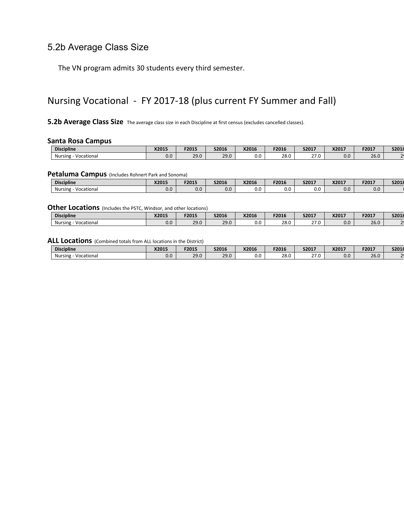### 5.2b Average Class Size

The VN program admits 30 students every third semester.

# Nursing Vocational - FY 2017-18 (plus current FY Summer and Fall)

#### **5.2b Average Class Size** The average class size in each Discipline at first census (excludes cancelled classes).

#### **Santa Rosa Campus**

| <b>Discipline</b>                             | X2015 | F2015 | S2016       | X2016 | F2016 | S2017       | X2017 | <b>E2017</b><br>2017 - | S2018 |
|-----------------------------------------------|-------|-------|-------------|-------|-------|-------------|-------|------------------------|-------|
| $\sim$ $\sim$<br>Vocational<br><b>Nursing</b> | 0.0   | 29.0  | 201<br>29.U | 0.0   | 28.0  | 270<br>27.U | 0.0   | $\sim$<br>26.U         |       |

#### **Petaluma Campus** (Includes Rohnert Park and Sonoma)

| <b>Discipline</b>                             | V201F<br>82013 | F2015 | S2016 | X2016 | F2016 | S2017 | X2017 | F2017         | 0.2016<br><b>SZUIF</b> |
|-----------------------------------------------|----------------|-------|-------|-------|-------|-------|-------|---------------|------------------------|
| $\sim$ $\sim$<br><b>Nursing</b><br>Vocational | v.v            | 0.0   | v.v   | 0.0   | 0.0   | v.v   | 0.0   | $\sim$<br>v.v |                        |

#### **Other Locations** (Includes the PSTC, Windsor, and other locations)

| <b>Discipline</b>     | X2015 | F2015 | S2016       | X2016         | F2016 | S2017       | X2017 | <b>E2017</b><br>, בטבי | 0.2016<br><b>22018</b> |
|-----------------------|-------|-------|-------------|---------------|-------|-------------|-------|------------------------|------------------------|
| Vocational<br>Nursing | 0.0   | 29.0  | 200<br>29.U | $\sim$<br>v.u | 28.0  | 270<br>27.U | 0.0   | $\sim$<br>26.U         |                        |

| <b>Discipline</b>     | X2015 | F2015       | S2016       | X2016 | F2016 | S2017                  | X2017 | F2017          | 0.2016<br><b>22018</b> |
|-----------------------|-------|-------------|-------------|-------|-------|------------------------|-------|----------------|------------------------|
| Vocational<br>Nursing | 0.0   | 200<br>29.U | 200<br>25.U | v.v   | 28.0  | $\sim$ $\sim$<br>ت ، ـ | 0.0   | $\sim$<br>26.U | ~                      |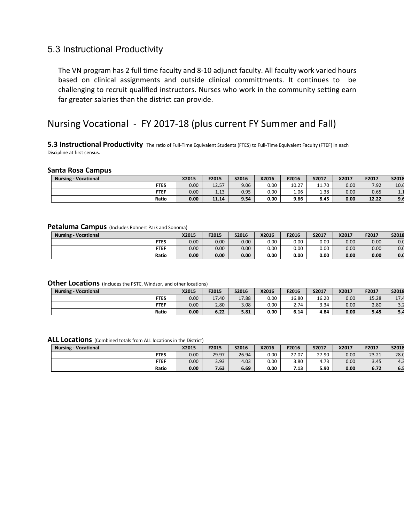### 5.3 Instructional Productivity

The VN program has 2 full time faculty and 8-10 adjunct faculty. All faculty work varied hours based on clinical assignments and outside clinical committments. It continues to be challenging to recruit qualified instructors. Nurses who work in the community setting earn far greater salaries than the district can provide.

# Nursing Vocational - FY 2017-18 (plus current FY Summer and Fall)

**5.3 Instructional Productivity** The ratio of Full-Time Equivalent Students (FTES) to Full-Time Equivalent Faculty (FTEF) in each Discipline at first census.

#### **Santa Rosa Campus**

| Vocational<br><b>Nursing</b> |             | X2015 | F2015      | S2016 | X2016 | F2016 | S2017 | X2017 | F2017 | S2018   |
|------------------------------|-------------|-------|------------|-------|-------|-------|-------|-------|-------|---------|
|                              | <b>FTES</b> | 0.00  | 12.57      | 9.06  | 0.00  | 10.27 | 11.70 | 0.00  | 7.92  | 10.6    |
|                              | <b>FTEF</b> | 0.00  | 12<br>1.15 | 0.95  | 0.00  | 1.06  | 1.38  | 0.00  | 0.65  | <b></b> |
|                              | Ratio       | 0.00  | 11.14      | 9.54  | 0.00  | 9.66  | 8.45  | 0.00  | 12.22 | 9.6     |

#### **Petaluma Campus** (Includes Rohnert Park and Sonoma)

| <b>Nursing - Vocational</b> |             | X2015             | F2015 | S2016             | X2016 | F2016 | S2017 | X2017 | F2017             | S2018 |
|-----------------------------|-------------|-------------------|-------|-------------------|-------|-------|-------|-------|-------------------|-------|
|                             | <b>FTES</b> | 0.00 <sub>1</sub> | 0.00  | 0.00 <sub>1</sub> | 0.00  | 0.00  | 0.00  | 0.00  | 0.00 <sub>1</sub> | 0.0   |
|                             | <b>FTEF</b> | 0.00 <sub>1</sub> | 0.00  | 0.00 <sub>1</sub> | 0.00  | 0.00  | 0.00  | 0.00  | 0.00              | 0.0   |
|                             | Ratio       | 0.00              | 0.00  | 0.00              | 0.00  | 0.00  | 0.00  | 0.00  | 0.00              | 0.0   |

#### **Other Locations** (Includes the PSTC, Windsor, and other locations)

| <b>Nursing - Vocational</b> |             | X2015 | F2015 | S2016 | X2016 | F2016 | S2017 | X2017 | F2017 | S2018                     |
|-----------------------------|-------------|-------|-------|-------|-------|-------|-------|-------|-------|---------------------------|
|                             | <b>FTES</b> | 0.00  | 17.40 | 17.88 | 0.00  | 16.80 | 16.20 | 0.00  | 15.28 | 17 <sub>l</sub><br>$+1.4$ |
|                             | <b>FTEF</b> | 0.00  | 2.80  | 3.08  | 0.00  | 2.74  | 3.34  | 0.00  | 2.80  | ے ۔ د                     |
|                             | Ratio       | 0.00  | 6.22  | 5.81  | 0.00  | 6.14  | 4.84  | 0.00  | 5.45  | 5.4                       |

| <b>Nursing - Vocational</b> |             | X2015             | F2015 | S2016 | X2016 | F2016         | S2017 | X2017 | F2017 | S2018 |
|-----------------------------|-------------|-------------------|-------|-------|-------|---------------|-------|-------|-------|-------|
|                             | <b>FTES</b> | 0.00              | 29.97 | 26.94 | 0.00  | 27.07<br>27.U | 27.90 | 0.00  | 23.21 | 28.0  |
|                             | <b>FTEF</b> | 0.00 <sub>1</sub> | 3.93  | 4.03  | 0.00  | 3.80          | 4.73  | 0.00  | 3.45  | 4.1   |
|                             | Ratio       | 0.00              | 7.63  | 6.69  | 0.00  | 7.13          | 5.90  | 0.00  | 6.72  | 6.5   |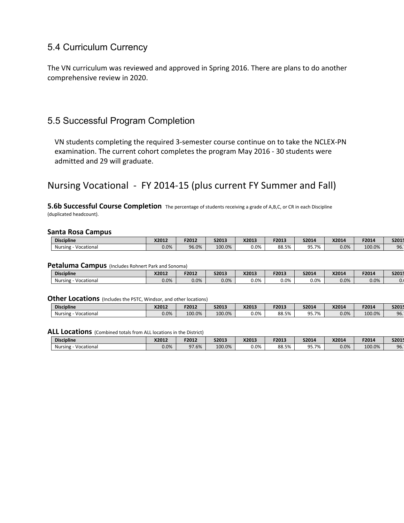### 5.4 Curriculum Currency

The VN curriculum was reviewed and approved in Spring 2016. There are plans to do another comprehensive review in 2020.

### 5.5 Successful Program Completion

VN students completing the required 3-semester course continue on to take the NCLEX-PN examination. The current cohort completes the program May 2016 - 30 students were admitted and 29 will graduate.

# Nursing Vocational - FY 2014-15 (plus current FY Summer and Fall)

**5.6b Successful Course Completion** The percentage of students receiving a grade of A,B,C, or CR in each Discipline (duplicated headcount).

#### **Santa Rosa Campus**

| <b>Discipline</b>     | X2012   | F2012 | S2013  | X2013   | F2013 | S2014            | X2014 | F2014  | S2015 |
|-----------------------|---------|-------|--------|---------|-------|------------------|-------|--------|-------|
| Vocational<br>Nursing | $0.0\%$ | 96.0% | 100.0% | $0.0\%$ | 88.5% | 5.7%<br>$\Omega$ | 0.0%  | 100.0% | 96.   |

#### **Petaluma Campus** (Includes Rohnert Park and Sonoma)

| <b>Discipline</b>     | X2012 | F2012   | S2013 | X2013   | F2013   | S2014   | X2014 | F2014 | S2015 |
|-----------------------|-------|---------|-------|---------|---------|---------|-------|-------|-------|
| Nursing<br>Vocational | 0.0%  | $0.0\%$ | 0.0%  | $0.0\%$ | $0.0\%$ | $0.0\%$ | 0.0%  | 0.0%  | v.    |

#### **Other Locations** (Includes the PSTC, Windsor, and other locations)

| ------                |         |        |              |         |       |       |       |        |       |
|-----------------------|---------|--------|--------------|---------|-------|-------|-------|--------|-------|
| <b>Discipline</b>     | X2012   | F2012  | <b>S2013</b> | X2013   | F2013 | S2014 | X2014 | F2014  | S2015 |
| Vocational<br>Nursing | $0.0\%$ | 100.0% | 100.0%       | $0.0\%$ | 88.5% | 95.7% | 0.0%  | 100.0% | 96.   |

|                       | - - -   |         |        |         |       |                     |       |        |       |
|-----------------------|---------|---------|--------|---------|-------|---------------------|-------|--------|-------|
| <b>Discipline</b>     | X2012   | F2012   | S2013  | X2013   | F2013 | S2014               | X2014 | F2014  | S2015 |
| Vocational<br>Nursing | $0.0\%$ | $1.6\%$ | 100.0% | $0.0\%$ | 88.5% | $5.7\%$<br>$\Omega$ | 0.0%  | 100.0% | 96.   |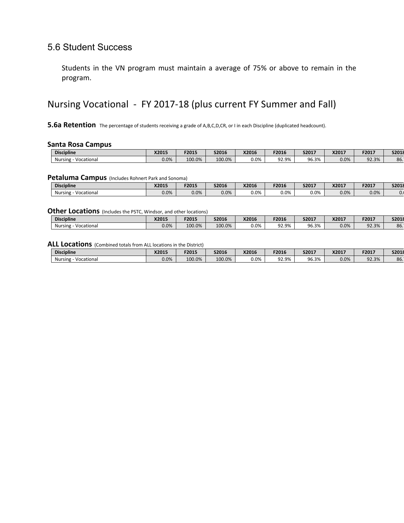### 5.6 Student Success

Students in the VN program must maintain a average of 75% or above to remain in the program.

# Nursing Vocational - FY 2017-18 (plus current FY Summer and Fall)

**5.6a Retention** The percentage of students receiving a grade of A,B,C,D,CR, or I in each Discipline (duplicated headcount).

#### **Santa Rosa Campus**

| <b>Discipline</b>       | X2015   | F2015  | S2016  | X2016   | F2016 | S2017 | X2017 | F2017 | S2018 |
|-------------------------|---------|--------|--------|---------|-------|-------|-------|-------|-------|
| Nursing -<br>Vocational | $0.0\%$ | 100.0% | 100.0% | $0.0\%$ | 92.9% | 96.3% | 0.0%  | 92.3% | 86.   |

#### **Petaluma Campus** (Includes Rohnert Park and Sonoma)

| <b>Discipline</b>                      | X2015   | F2015   | S2016 | X2016   | F2016   | S2017   | X2017 | F2017 | S2018 |
|----------------------------------------|---------|---------|-------|---------|---------|---------|-------|-------|-------|
| $\sim$ $\sim$<br>Vocational<br>Nursing | $0.0\%$ | $0.0\%$ | 0.0%  | $0.0\%$ | $0.0\%$ | $0.0\%$ | 0.0%  | 0.0%  | v.    |

#### **Other Locations** (Includes the PSTC, Windsor, and other locations)

| - - - - - - -<br>.<br>-------------------- |         |        |        |         |       |       |       |       |       |
|--------------------------------------------|---------|--------|--------|---------|-------|-------|-------|-------|-------|
| <b>Discipline</b>                          | X2015   | F2015  | S2016  | X2016   | F2016 | S2017 | X2017 | F2017 | S2018 |
| <b>Nursing</b><br>Vocational               | $0.0\%$ | 100.0% | 100.0% | $0.0\%$ | 92.9% | 96.3% | 0.0%  | 92.3% | 86.   |

| <b>Discipline</b>     | X2015   | F2015  | S2016  | X2016   | F2016          | S2017 | X201 | F2017 | S2018 |
|-----------------------|---------|--------|--------|---------|----------------|-------|------|-------|-------|
| Vocational<br>Nursing | $0.0\%$ | 100.0% | 100.0% | $0.0\%$ | 92.9%<br>92.9% | 96.3% | 0.0% | 92.3% | 86.   |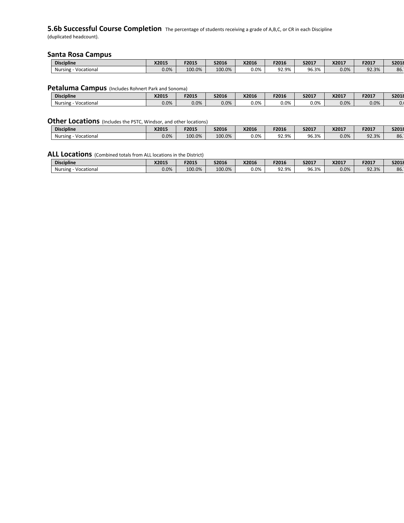# **5.6b Successful Course Completion** The percentage of students receiving a grade of A,B,C, or CR in each Discipline

(duplicated headcount).

#### **Santa Rosa Campus**

| <b>Discipline</b>            | X2015   | F2015  | S2016  | X2016   | F2016 | S2017       | X2017 | F2017 | S2018 |
|------------------------------|---------|--------|--------|---------|-------|-------------|-------|-------|-------|
| <b>Nursing</b><br>Vocational | $0.0\%$ | 100.0% | 100.0% | $0.0\%$ | 92.9% | 06.3%<br>oc | 0.0%  | 92.3% | 86.   |

#### **Petaluma Campus** (Includes Rohnert Park and Sonoma)

| <b>Discipline</b>     | X2015   | F2015 | <b>S2016</b> | X2016   | F2016   | S2017   | X2017 | F2017 | S2018 |
|-----------------------|---------|-------|--------------|---------|---------|---------|-------|-------|-------|
| Vocational<br>Nursing | $0.0\%$ | 0.0%  | $0.0\%$      | $0.0\%$ | $0.0\%$ | $0.0\%$ | 0.0%  | 0.0%  | v.,   |

#### **Other Locations** (Includes the PSTC, Windsor, and other locations)

| <b>Discipline</b>     | V201E<br>82013 | F2015  | S2016  | X2016   | F2016 | S2017           | X2017 | F2017 | S2018 |
|-----------------------|----------------|--------|--------|---------|-------|-----------------|-------|-------|-------|
| Vocational<br>Nursing | 0.0%           | 100.0% | 100.0% | $0.0\%$ | 92.9% | $\sim$<br>06.3% | 0.0%  | 92.3% | 86.   |

| <b>Discipline</b>       | X2015   | F2015  | S2016  | X2016   | F2016 | S2017 | X2017 | F2017 | S2018 |
|-------------------------|---------|--------|--------|---------|-------|-------|-------|-------|-------|
| Nursing -<br>Vocational | $0.0\%$ | 100.0% | 100.0% | $0.0\%$ | 92.9% | 96.3% | 0.0%  | 92.3% | 86.   |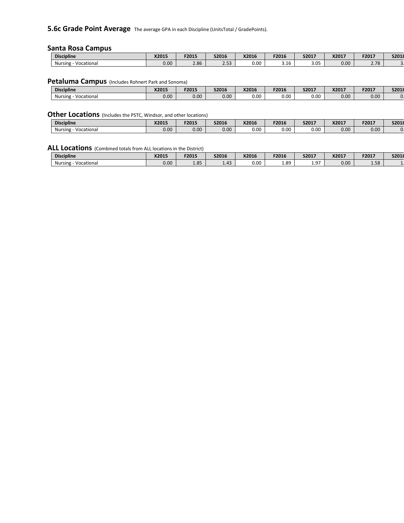**5.6c Grade Point Average** The average GPA in each Discipline (UnitsTotal / GradePoints).

#### **Santa Rosa Campus**

| <b>Discipline</b>            | X2015 | F2015 | S2016            | X2016 | F2016       | S2017       | X2017 | F2017        | S2018 |
|------------------------------|-------|-------|------------------|-------|-------------|-------------|-------|--------------|-------|
| <b>Nursing</b><br>Vocational | 0.00  | 2.86  | $ -$<br><u>.</u> | 0.00  | <b>J.LU</b> | ח כ<br>J.UJ | 0.00  | סד ר<br>2.70 |       |

#### **Petaluma Campus** (Includes Rohnert Park and Sonoma)

| <b>Discipline</b>     | X2015 | F2015 | <b>S2016</b> | X2016 | F2016 | S2017 | X2017 | F2017 | S2018 |
|-----------------------|-------|-------|--------------|-------|-------|-------|-------|-------|-------|
| Vocational<br>Nursing | 0.00  | 0.00  | $0.00\,$     | 0.00  | 0.00  | 0.00  | 0.00  | 0.00  |       |

#### **Other Locations** (Includes the PSTC, Windsor, and other locations)

| <b>Discipline</b>     | X2015 | F2015 | S2016             | X2016 | F2016 | S2017 | X2017 | F2017 | S2018 |
|-----------------------|-------|-------|-------------------|-------|-------|-------|-------|-------|-------|
| Vocational<br>Nursing | 0.00  | 0.00  | 0.00 <sub>1</sub> | 0.00  | 0.00  | 0.00  | 0.00  | 0.00  |       |

| <b>Discipline</b>     | X2015 | F2015      | S2016 | X2016 | F2016 | S2017 | X2017 | F2017                     | S2018 |
|-----------------------|-------|------------|-------|-------|-------|-------|-------|---------------------------|-------|
| Vocational<br>Nursing | 0.00  | OC<br>1.05 | 1.43  | 0.00  | 1.89  | 97    | 0.00  | $\Gamma$ $\Omega$<br>סכ.ב |       |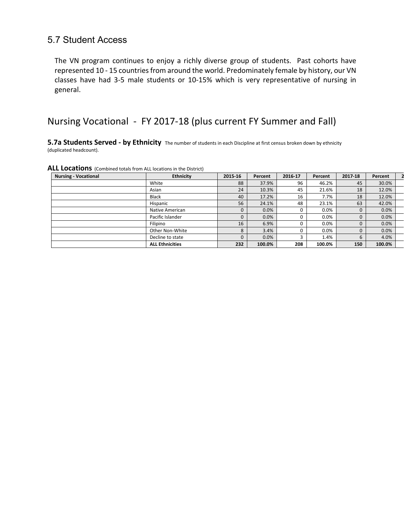### 5.7 Student Access

The VN program continues to enjoy a richly diverse group of students. Past cohorts have represented 10 - 15 countries from around the world. Predominately female by history, our VN classes have had 3-5 male students or 10-15% which is very representative of nursing in general.

# Nursing Vocational - FY 2017-18 (plus current FY Summer and Fall)

**5.7a Students Served - by Ethnicity** The number of students in each Discipline at first census broken down by ethnicity (duplicated headcount).

| ALL Locations (Combined totals from ALL locations in the District) |
|--------------------------------------------------------------------|
|--------------------------------------------------------------------|

| <b>Nursing - Vocational</b> | <b>Ethnicity</b>       | 2015-16 | Percent | 2016-17 | Percent | 2017-18     | Percent |  |
|-----------------------------|------------------------|---------|---------|---------|---------|-------------|---------|--|
|                             | White                  | 88      | 37.9%   | 96      | 46.2%   | 45          | 30.0%   |  |
|                             | Asian                  | 24      | 10.3%   | 45      | 21.6%   | 18          | 12.0%   |  |
|                             | <b>Black</b>           | 40      | 17.2%   | 16      | 7.7%    | 18          | 12.0%   |  |
|                             | Hispanic               | 56      | 24.1%   | 48      | 23.1%   | 63          | 42.0%   |  |
|                             | Native American        | 0       | 0.0%    | 0       | 0.0%    | 0           | 0.0%    |  |
|                             | Pacific Islander       | 0       | 0.0%    | 0       | 0.0%    | $\mathbf 0$ | 0.0%    |  |
|                             | Filipino               | 16      | 6.9%    | 0       | 0.0%    | 0           | 0.0%    |  |
|                             | Other Non-White        | 8       | 3.4%    | 0       | 0.0%    | $\Omega$    | 0.0%    |  |
|                             | Decline to state       | 0       | 0.0%    |         | 1.4%    | 6           | 4.0%    |  |
|                             | <b>ALL Ethnicities</b> | 232     | 100.0%  | 208     | 100.0%  | 150         | 100.0%  |  |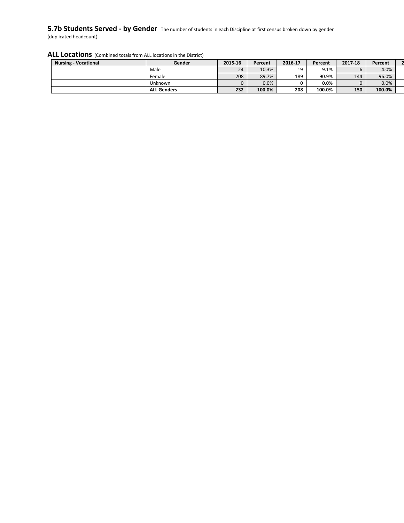#### **5.7b Students Served - by Gender** The number of students in each Discipline at first census broken down by gender (duplicated headcount).

| <b>Nursing - Vocational</b> | Gender             | 2015-16 | Percent | 2016 17 | Percent | 2017-18 | Percent |  |
|-----------------------------|--------------------|---------|---------|---------|---------|---------|---------|--|
|                             | Male               | 24      | 10.3%   | 19      | 9.1%    |         | 4.0%    |  |
|                             | Female             | 208     | 89.7%   | 189     | 90.9%   | 144     | 96.0%   |  |
|                             | Unknown            |         | 0.0%    |         | $0.0\%$ |         | 0.0%    |  |
|                             | <b>ALL Genders</b> | 232     | 100.0%  | 208     | 100.0%  | 150     | 100.0%  |  |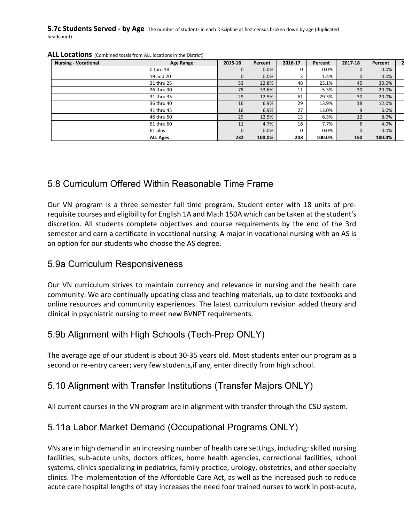**5.7c Students Served - by Age** The number of students in each Discipline at first census broken down by age (duplicated headcount).

| <b>Nursing - Vocational</b> | Age Range       | 2015-16     | Percent | 2016-17 | Percent | 2017-18     | Percent |  |
|-----------------------------|-----------------|-------------|---------|---------|---------|-------------|---------|--|
|                             | 0 thru 18       | $\mathbf 0$ | 0.0%    | 0       | 0.0%    | $\mathbf 0$ | 0.0%    |  |
|                             | 19 and 20       | $\Omega$    | 0.0%    |         | 1.4%    | $\mathbf 0$ | 0.0%    |  |
|                             | 21 thru 25      | 53          | 22.8%   | 48      | 23.1%   | 45          | 30.0%   |  |
|                             | 26 thru 30      | 78          | 33.6%   | 11      | 5.3%    | 30          | 20.0%   |  |
|                             | 31 thru 35      | 29          | 12.5%   | 61      | 29.3%   | 30          | 20.0%   |  |
|                             | 36 thru 40      | 16          | 6.9%    | 29      | 13.9%   | 18          | 12.0%   |  |
|                             | 41 thru 45      | 16          | 6.9%    | 27      | 13.0%   | 9           | 6.0%    |  |
|                             | 46 thru 50      | 29          | 12.5%   | 13      | 6.3%    | 12          | 8.0%    |  |
|                             | 51 thru 60      | 11          | 4.7%    | 16      | 7.7%    | 6           | 4.0%    |  |
|                             | 61 plus         | $\Omega$    | 0.0%    | 0       | 0.0%    | $\mathbf 0$ | 0.0%    |  |
|                             | <b>ALL Ages</b> | 232         | 100.0%  | 208     | 100.0%  | 150         | 100.0%  |  |

#### ALL Locations (Combined totals from ALL locations in the District)

### 5.8 Curriculum Offered Within Reasonable Time Frame

Our VN program is a three semester full time program. Student enter with 18 units of prerequisite courses and eligibility for English 1A and Math 150A which can be taken at the student's discretion. All students complete objectives and course requirements by the end of the 3rd semester and earn a certificate in vocational nursing. A major in vocational nursing with an AS is an option for our students who choose the AS degree.

### 5.9a Curriculum Responsiveness

Our VN curriculum strives to maintain currency and relevance in nursing and the health care community. We are continually updating class and teaching materials, up to date textbooks and online resources and community experiences. The latest curriculum revision added theory and clinical in psychiatric nursing to meet new BVNPT requirements.

# 5.9b Alignment with High Schools (Tech-Prep ONLY)

The average age of our student is about 30-35 years old. Most students enter our program as a second or re-entry career; very few students,if any, enter directly from high school.

# 5.10 Alignment with Transfer Institutions (Transfer Majors ONLY)

All current courses in the VN program are in alignment with transfer through the CSU system.

## 5.11a Labor Market Demand (Occupational Programs ONLY)

VNs are in high demand in an increasing number of health care settings, including: skilled nursing facilities, sub-acute units, doctors offices, home health agencies, correctional facilities, school systems, clinics specializing in pediatrics, family practice, urology, obstetrics, and other specialty clinics. The implementation of the Affordable Care Act, as well as the increased push to reduce acute care hospital lengths of stay increases the need foor trained nurses to work in post-acute,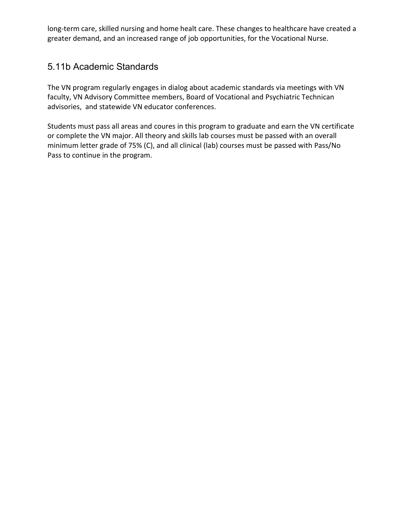long-term care, skilled nursing and home healt care. These changes to healthcare have created a greater demand, and an increased range of job opportunities, for the Vocational Nurse.

## 5.11b Academic Standards

The VN program regularly engages in dialog about academic standards via meetings with VN faculty, VN Advisory Committee members, Board of Vocational and Psychiatric Technican advisories, and statewide VN educator conferences.

Students must pass all areas and coures in this program to graduate and earn the VN certificate or complete the VN major. All theory and skills lab courses must be passed with an overall minimum letter grade of 75% (C), and all clinical (lab) courses must be passed with Pass/No Pass to continue in the program.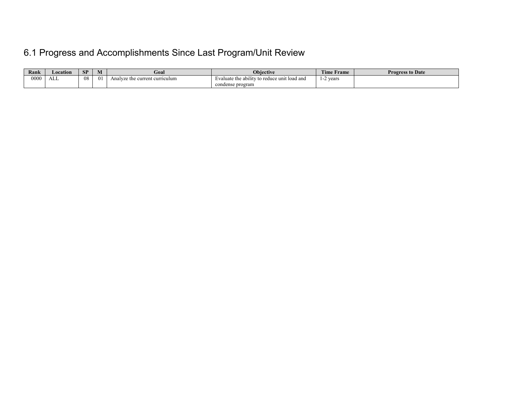# 6.1 Progress and Accomplishments Since Last Program/Unit Review

| Rank | Location | SP | M        | Goal                           | <b>Obiective</b>                             | Time.<br>Frame | <b>Progress to Date</b> |
|------|----------|----|----------|--------------------------------|----------------------------------------------|----------------|-------------------------|
| 0000 | .<br>ALL | 08 | $\Omega$ | Analyze the current curriculum | Evaluate the ability to reduce unit load and | vears<br>. .   |                         |
|      |          |    |          |                                | condense program                             |                |                         |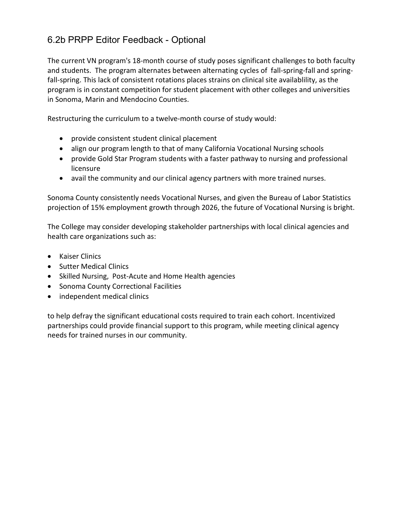# 6.2b PRPP Editor Feedback - Optional

The current VN program's 18-month course of study poses significant challenges to both faculty and students. The program alternates between alternating cycles of fall-spring-fall and springfall-spring. This lack of consistent rotations places strains on clinical site availablility, as the program is in constant competition for student placement with other colleges and universities in Sonoma, Marin and Mendocino Counties.

Restructuring the curriculum to a twelve-month course of study would:

- provide consistent student clinical placement
- align our program length to that of many California Vocational Nursing schools
- provide Gold Star Program students with a faster pathway to nursing and professional licensure
- avail the community and our clinical agency partners with more trained nurses.

Sonoma County consistently needs Vocational Nurses, and given the Bureau of Labor Statistics projection of 15% employment growth through 2026, the future of Vocational Nursing is bright.

The College may consider developing stakeholder partnerships with local clinical agencies and health care organizations such as:

- Kaiser Clinics
- Sutter Medical Clinics
- Skilled Nursing, Post-Acute and Home Health agencies
- Sonoma County Correctional Facilities
- independent medical clinics

to help defray the significant educational costs required to train each cohort. Incentivized partnerships could provide financial support to this program, while meeting clinical agency needs for trained nurses in our community.